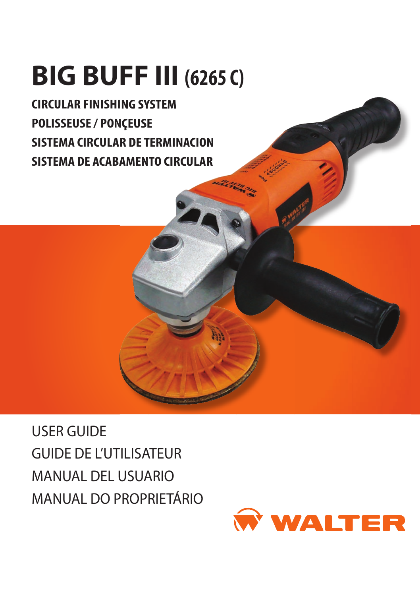# **BIG BUFF III (6265 C)**

**CIRCULAR FINISHING SYSTEM CIRCULAR FINISHING POLISSEUSE / PONÇEUSE SISTEMA CIRCULAR DE TERMINACION SISTEMA DE ACABAMENTO CIRCULAR** POLISSEUSE / PONÇEUSE<br>SISTEMA CIRCULAR DE TERMINACION<br>SISTEMA DE ACABAMENTO CIRCULAR

USER GUIDE GUIDE DE L'UTILISATEUR MANUAL DEL USUARIO MANUAL DO PROPRIETÁRIO

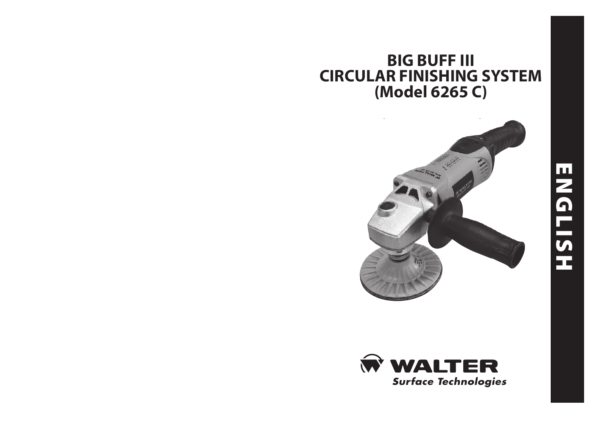#### **BIG BUFF III CIRCULAR FINISHING SYSTEM (Model 6265 C) BEINISHINI**<br>Dadal 6265 **COST (INICULAR FIDEO**





E N G L I S AGLISH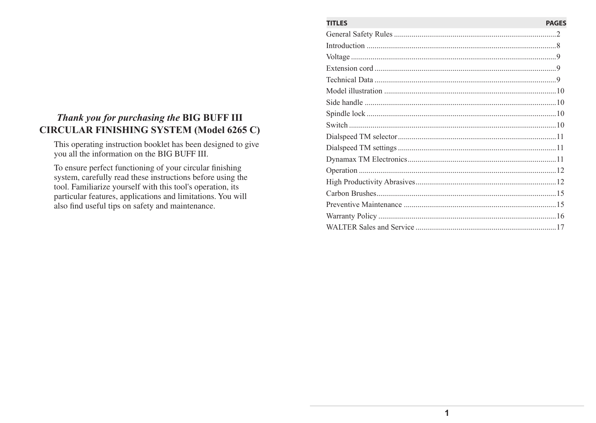#### *Thank you for purchasing the* **BIG BUFF III CIRCULAR FINISHING SYSTEM (Model 6265 C)**

This operating instruction booklet has been designed to give you all the information on the BIG BUFF III.

To ensure perfect functioning of your circular finishing system, carefully read these instructions before using the tool. Familiarize yourself with this tool's operation, its particular features, applications and limitations. You will also find useful tips on safety and maintenance.

| TITLES | <b>PAGES</b> |
|--------|--------------|
|        |              |
|        |              |
|        |              |
|        |              |
|        |              |
|        |              |
|        |              |
|        |              |
|        |              |
|        |              |
|        |              |
|        |              |
|        |              |
|        |              |
|        |              |
|        |              |
|        |              |
|        |              |
|        |              |

**1**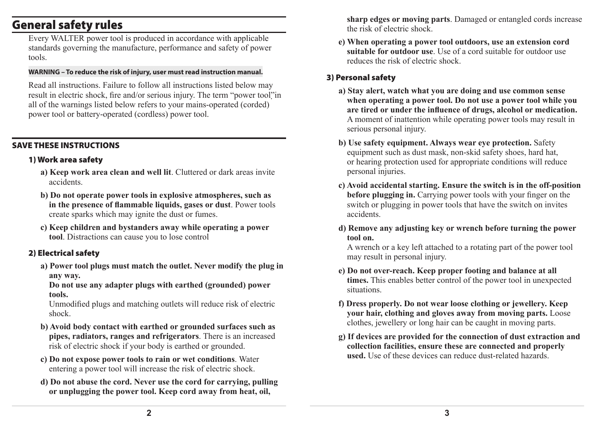## General safety rules

Every WALTER power tool is produced in accordance with applicable standards governing the manufacture, performance and safety of power tools.

#### **WARNING – To reduce the risk of injury, user must read instruction manual.**

Read all instructions. Failure to follow all instructions listed below may result in electric shock, fire and/or serious injury. The term "power tool"in all of the warnings listed below refers to your mains-operated (corded) power tool or battery-operated (cordless) power tool.

#### SAVE THESE INSTRUCTIONS

#### 1) Work area safety

- **a) Keep work area clean and well lit**. Cluttered or dark areas invite accidents.
- **b) Do not operate power tools in explosive atmospheres, such as in the presence of flammable liquids, gases or dust**. Power tools create sparks which may ignite the dust or fumes.
- **c) Keep children and bystanders away while operating a power tool**. Distractions can cause you to lose control

#### 2) Electrical safety

**a) Power tool plugs must match the outlet. Never modify the plug in any way.**

**Do not use any adapter plugs with earthed (grounded) power tools.**

Unmodified plugs and matching outlets will reduce risk of electric shock.

- **b) Avoid body contact with earthed or grounded surfaces such as pipes, radiators, ranges and refrigerators**. There is an increased risk of electric shock if your body is earthed or grounded.
- **c) Do not expose power tools to rain or wet conditions**. Water entering a power tool will increase the risk of electric shock.
- **d) Do not abuse the cord. Never use the cord for carrying, pulling or unplugging the power tool. Keep cord away from heat, oil,**

**sharp edges or moving parts**. Damaged or entangled cords increase the risk of electric shock.

**e) When operating a power tool outdoors, use an extension cord suitable for outdoor use**. Use of a cord suitable for outdoor use reduces the risk of electric shock.

### 3) Personal safety

- **a) Stay alert, watch what you are doing and use common sense when operating a power tool. Do not use a power tool while you are tired or under the influence of drugs, alcohol or medication.** A moment of inattention while operating power tools may result in serious personal injury.
- **b) Use safety equipment. Always wear eye protection.** Safety equipment such as dust mask, non-skid safety shoes, hard hat, or hearing protection used for appropriate conditions will reduce personal injuries.
- **c) Avoid accidental starting. Ensure the switch is in the off-position before plugging in.** Carrying power tools with your finger on the switch or plugging in power tools that have the switch on invites accidents.
- **d) Remove any adjusting key or wrench before turning the power tool on.**

A wrench or a key left attached to a rotating part of the power tool may result in personal injury.

- **e) Do not over-reach. Keep proper footing and balance at all times.** This enables better control of the power tool in unexpected situations.
- **f) Dress properly. Do not wear loose clothing or jewellery. Keep your hair, clothing and gloves away from moving parts.** Loose clothes, jewellery or long hair can be caught in moving parts.
- **g) If devices are provided for the connection of dust extraction and collection facilities, ensure these are connected and properly used.** Use of these devices can reduce dust-related hazards.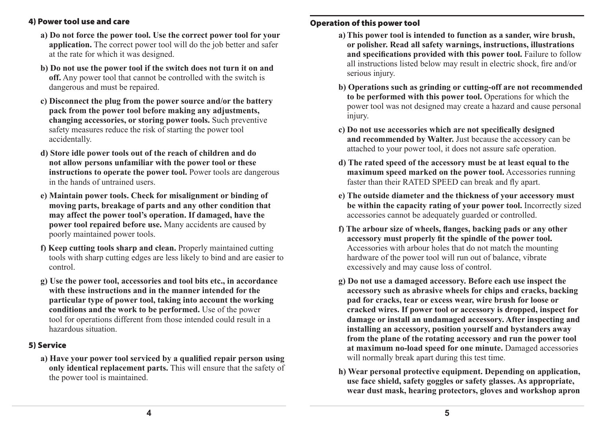#### 4) Power tool use and care

- **a) Do not force the power tool. Use the correct power tool for your application.** The correct power tool will do the job better and safer at the rate for which it was designed.
- **b) Do not use the power tool if the switch does not turn it on and off.** Any power tool that cannot be controlled with the switch is dangerous and must be repaired.
- **c) Disconnect the plug from the power source and/or the battery pack from the power tool before making any adjustments, changing accessories, or storing power tools.** Such preventive safety measures reduce the risk of starting the power tool accidentally.
- **d) Store idle power tools out of the reach of children and do not allow persons unfamiliar with the power tool or these instructions to operate the power tool.** Power tools are dangerous in the hands of untrained users.
- **e) Maintain power tools. Check for misalignment or binding of moving parts, breakage of parts and any other condition that may affect the power tool's operation. If damaged, have the power tool repaired before use.** Many accidents are caused by poorly maintained power tools.
- **f) Keep cutting tools sharp and clean.** Properly maintained cutting tools with sharp cutting edges are less likely to bind and are easier to control.
- **g) Use the power tool, accessories and tool bits etc., in accordance with these instructions and in the manner intended for the particular type of power tool, taking into account the working conditions and the work to be performed.** Use of the power tool for operations different from those intended could result in a hazardous situation.

#### 5) Service

**a) Have your power tool serviced by a qualified repair person using only identical replacement parts.** This will ensure that the safety of the power tool is maintained.

#### Operation of this power tool

- **a) This power tool is intended to function as a sander, wire brush, or polisher. Read all safety warnings, instructions, illustrations and specifications provided with this power tool.** Failure to follow all instructions listed below may result in electric shock, fire and/or serious injury.
- **b) Operations such as grinding or cutting-off are not recommended to be performed with this power tool.** Operations for which the power tool was not designed may create a hazard and cause personal injury.
- **c) Do not use accessories which are not specifically designed and recommended by Walter.** Just because the accessory can be attached to your power tool, it does not assure safe operation.
- **d) The rated speed of the accessory must be at least equal to the maximum speed marked on the power tool.** Accessories running faster than their RATED SPEED can break and fly apart.
- **e) The outside diameter and the thickness of your accessory must be within the capacity rating of your power tool.** Incorrectly sized accessories cannot be adequately guarded or controlled.
- **f) The arbour size of wheels, flanges, backing pads or any other accessory must properly fit the spindle of the power tool.** Accessories with arbour holes that do not match the mounting hardware of the power tool will run out of balance, vibrate excessively and may cause loss of control.
- **g) Do not use a damaged accessory. Before each use inspect the accessory such as abrasive wheels for chips and cracks, backing pad for cracks, tear or excess wear, wire brush for loose or cracked wires. If power tool or accessory is dropped, inspect for damage or install an undamaged accessory. After inspecting and installing an accessory, position yourself and bystanders away from the plane of the rotating accessory and run the power tool at maximum no-load speed for one minute.** Damaged accessories will normally break apart during this test time.
- **h) Wear personal protective equipment. Depending on application, use face shield, safety goggles or safety glasses. As appropriate, wear dust mask, hearing protectors, gloves and workshop apron**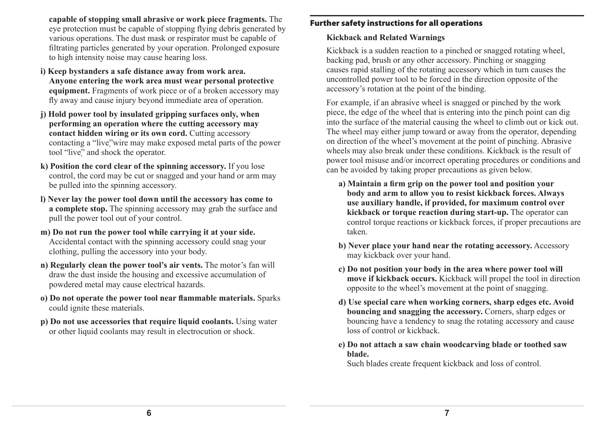**capable of stopping small abrasive or work piece fragments.** The eye protection must be capable of stopping flying debris generated by various operations. The dust mask or respirator must be capable of filtrating particles generated by your operation. Prolonged exposure to high intensity noise may cause hearing loss.

- **i) Keep bystanders a safe distance away from work area. Anyone entering the work area must wear personal protective equipment.** Fragments of work piece or of a broken accessory may fly away and cause injury beyond immediate area of operation.
- **j) Hold power tool by insulated gripping surfaces only, when performing an operation where the cutting accessory may contact hidden wiring or its own cord.** Cutting accessory contacting a "live"wire may make exposed metal parts of the power tool "live" and shock the operator.
- **k) Position the cord clear of the spinning accessory.** If you lose control, the cord may be cut or snagged and your hand or arm may be pulled into the spinning accessory.
- **l) Never lay the power tool down until the accessory has come to a complete stop.** The spinning accessory may grab the surface and pull the power tool out of your control.
- **m) Do not run the power tool while carrying it at your side.** Accidental contact with the spinning accessory could snag your clothing, pulling the accessory into your body.
- **n) Regularly clean the power tool's air vents.** The motor's fan will draw the dust inside the housing and excessive accumulation of powdered metal may cause electrical hazards.
- **o) Do not operate the power tool near flammable materials.** Sparks could ignite these materials.
- **p) Do not use accessories that require liquid coolants.** Using water or other liquid coolants may result in electrocution or shock.

#### Further safety instructions for all operations

#### **Kickback and Related Warnings**

Kickback is a sudden reaction to a pinched or snagged rotating wheel, backing pad, brush or any other accessory. Pinching or snagging causes rapid stalling of the rotating accessory which in turn causes the uncontrolled power tool to be forced in the direction opposite of the accessory's rotation at the point of the binding.

For example, if an abrasive wheel is snagged or pinched by the work piece, the edge of the wheel that is entering into the pinch point can dig into the surface of the material causing the wheel to climb out or kick out. The wheel may either jump toward or away from the operator, depending on direction of the wheel's movement at the point of pinching. Abrasive wheels may also break under these conditions. Kickback is the result of power tool misuse and/or incorrect operating procedures or conditions and can be avoided by taking proper precautions as given below.

- **a) Maintain a firm grip on the power tool and position your body and arm to allow you to resist kickback forces. Always use auxiliary handle, if provided, for maximum control over kickback or torque reaction during start-up.** The operator can control torque reactions or kickback forces, if proper precautions are taken.
- **b) Never place your hand near the rotating accessory.** Accessory may kickback over your hand.
- **c) Do not position your body in the area where power tool will move if kickback occurs.** Kickback will propel the tool in direction opposite to the wheel's movement at the point of snagging.
- **d) Use special care when working corners, sharp edges etc. Avoid bouncing and snagging the accessory.** Corners, sharp edges or bouncing have a tendency to snag the rotating accessory and cause loss of control or kickback.
- **e) Do not attach a saw chain woodcarving blade or toothed saw blade.**

Such blades create frequent kickback and loss of control.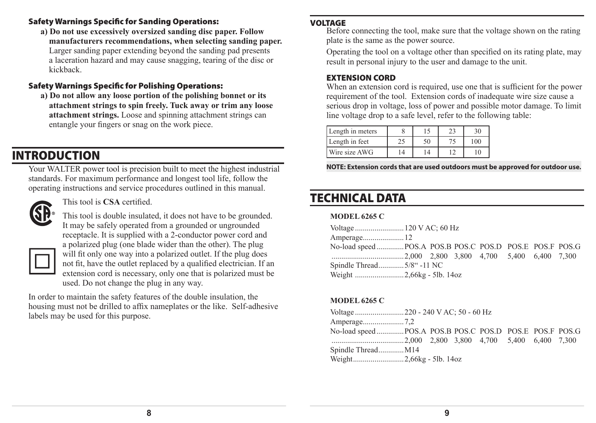#### Safety Warnings Specific for Sanding Operations:

**a) Do not use excessively oversized sanding disc paper. Follow manufacturers recommendations, when selecting sanding paper.** Larger sanding paper extending beyond the sanding pad presents a laceration hazard and may cause snagging, tearing of the disc or kickback.

#### Safety Warnings Specific for Polishing Operations:

**a) Do not allow any loose portion of the polishing bonnet or its attachment strings to spin freely. Tuck away or trim any loose attachment strings.** Loose and spinning attachment strings can entangle your fingers or snag on the work piece.

## INTRODUCTION

Your WALTER power tool is precision built to meet the highest industrial standards. For maximum performance and longest tool life, follow the operating instructions and service procedures outlined in this manual.



This tool is **CSA** certified.

This tool is double insulated, it does not have to be grounded. It may be safely operated from a grounded or ungrounded receptacle. It is supplied with a 2-conductor power cord and a polarized plug (one blade wider than the other). The plug



will fit only one way into a polarized outlet. If the plug does not fit, have the outlet replaced by a qualified electrician. If an extension cord is necessary, only one that is polarized must be used. Do not change the plug in any way.

In order to maintain the safety features of the double insulation, the housing must not be drilled to affix nameplates or the like. Self-adhesive labels may be used for this purpose.

#### VOLTAGE

Before connecting the tool, make sure that the voltage shown on the rating plate is the same as the power source.

Operating the tool on a voltage other than specified on its rating plate, may result in personal injury to the user and damage to the unit.

#### EXTENSION CORD

When an extension cord is required, use one that is sufficient for the power requirement of the tool. Extension cords of inadequate wire size cause a serious drop in voltage, loss of power and possible motor damage. To limit line voltage drop to a safe level, refer to the following table:

| Length in meters |    |     |
|------------------|----|-----|
| Length in feet   | 50 | 100 |
| Wire size AWG    |    |     |

**NOTE: Extension cords that are used outdoors must be approved for outdoor use.**

## TECHNICAL DATA

#### **MODEL 6265 C**

| $\ldots$ $\ldots$ $\ldots$ $\ldots$ $\ldots$ $\ldots$ $\ldots$ $\ldots$ $\ldots$ $\ldots$ $\ldots$ $\ldots$ $\ldots$ $\ldots$ $\ldots$ $\ldots$ $\ldots$ $\ldots$ $\ldots$ $\ldots$ $\ldots$ $\ldots$ $\ldots$ $\ldots$ $\ldots$ $\ldots$ $\ldots$ $\ldots$ $\ldots$ $\ldots$ $\ldots$ $\ldots$ $\ldots$ $\ldots$ $\ldots$ $\ldots$ $\ldots$ |  |  |  |  |
|----------------------------------------------------------------------------------------------------------------------------------------------------------------------------------------------------------------------------------------------------------------------------------------------------------------------------------------------|--|--|--|--|
| Spindle Thread5/8" -11 NC                                                                                                                                                                                                                                                                                                                    |  |  |  |  |
|                                                                                                                                                                                                                                                                                                                                              |  |  |  |  |

#### **MODEL 6265 C**

| No-load speed  POS.A POS.B POS.C POS.D POS.E POS.F POS.G                                                                                                                                                                                                                                                                                     |  |  |  |  |
|----------------------------------------------------------------------------------------------------------------------------------------------------------------------------------------------------------------------------------------------------------------------------------------------------------------------------------------------|--|--|--|--|
| $\ldots$ $\ldots$ $\ldots$ $\ldots$ $\ldots$ $\ldots$ $\ldots$ $\ldots$ $\ldots$ $\ldots$ $\ldots$ $\ldots$ $\ldots$ $\ldots$ $\ldots$ $\ldots$ $\ldots$ $\ldots$ $\ldots$ $\ldots$ $\ldots$ $\ldots$ $\ldots$ $\ldots$ $\ldots$ $\ldots$ $\ldots$ $\ldots$ $\ldots$ $\ldots$ $\ldots$ $\ldots$ $\ldots$ $\ldots$ $\ldots$ $\ldots$ $\ldots$ |  |  |  |  |
|                                                                                                                                                                                                                                                                                                                                              |  |  |  |  |
|                                                                                                                                                                                                                                                                                                                                              |  |  |  |  |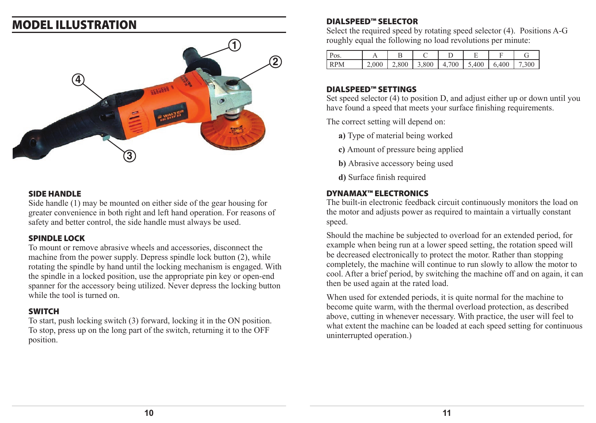## MODEL ILLUSTRATION

MODEL ILLUSTRATION



#### SIDE HANDLE SIDE HANDLE

Side handle  $(1)$  may be mounted on either side of the gear housing for greater convenience in both right and left hand operation. For reasons of safety and better control, the side handle must always be used.

#### SPINDLE LOCK

Folding the spindle by hand until the locking incenditism is engaged. Which the spindle in a locked position, use the appropriate pin key or open-end To mount or remove abrasive wheels and accessories, disconnect the machine from the power supply. Depress spindle lock button (2), while rotating the spindle by hand until the locking mechanism is engaged. With spanner for the accessory being utilized. Never depress the locking button while the tool is turned on.

#### SWITCH

To start, push locking switch (3) forward, locking it in the ON position. To stop, press up on the long part of the switch, returning it to the OFF position.

#### DIAL SPEED™ SELECTOR

Select the required speed by rotating speed selector (4). Positions A-G roughly equal the following no load revolutions per minute:

| υυ. |    |                 |   |         |    |        |
|-----|----|-----------------|---|---------|----|--------|
|     | vu | v<br>$\tilde{}$ | ◡ | 4<br>◡◡ | vv | $\sim$ |

#### DIALSPEED™ SETTINGS

Set speed selector (4) to position D, and adjust either up or down until you have found a speed that meets your surface finishing requirements.

The correct setting will depend on:

- **a)** Type of material being worked
- **c)** Amount of pressure being applied
- **b**) Abrasive accessory being used
- **d)** Surface finish required

#### DYNAMAX™ ELECTRONICS

The built-in electronic feedback circuit continuously monitors the load on the motor and adjusts power as required to maintain a virtually constant speed.

Should the machine be subjected to overload for an extended period, for example when being run at a lower speed setting, the rotation speed will be decreased electronically to protect the motor. Rather than stopping completely, the machine will continue to run slowly to allow the motor to cool. After a brief period, by switching the machine off and on again, it can then be used again at the rated load.

When used for extended periods, it is quite normal for the machine to become quite warm, with the thermal overload protection, as described above, cutting in whenever necessary. With practice, the user will feel to what extent the machine can be loaded at each speed setting for continuous uninterrupted operation.)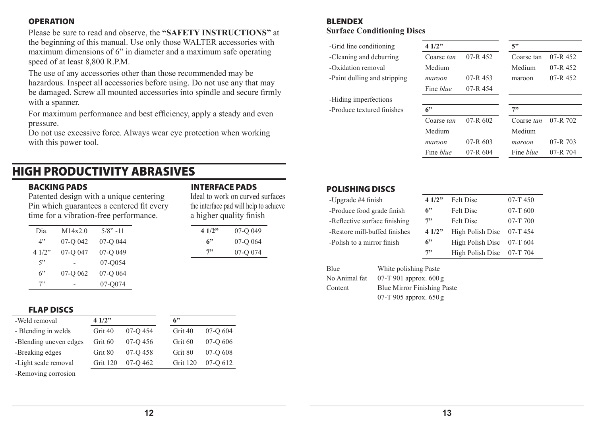#### **OPERATION**

Please be sure to read and observe, the **"SAFETY INSTRUCTIONS"** at the beginning of this manual. Use only those WALTER accessories with maximum dimensions of 6" in diameter and a maximum safe operating speed of at least 8,800 R.P.M.

The use of any accessories other than those recommended may be hazardous. Inspect all accessories before using. Do not use any that may be damaged. Screw all mounted accessories into spindle and secure firmly with a spanner.

For maximum performance and best efficiency, apply a steady and even pressure.

Do not use excessive force. Always wear eye protection when working with this power tool.

## HIGH PRODUCTIVITY ABRASIVES

**BACKING PADS**<br>Patented design with a unique centering Ideal to work on curved surfaces Patented design with a unique centering Ideal to work on curved surfaces<br>
Pin which guarantees a centered fit every the interface pad will help to achieve Pin which guarantees a centered fit every the interface pad will help to a time for a vibration-free performance. a higher quality finish time for a vibration-free performance.

| Dia.  | M14x2.0                  | $5/8$ " -11 | 41/2" | 07-Q 049 |
|-------|--------------------------|-------------|-------|----------|
| 4"    | $07 - O$ 042             | $07-O$ 044  | 6"    | 07-Q 064 |
| 41/2" | $07-Q$ 047 07-Q 049      |             | 7"    | 07-Q 074 |
| 5"    | $\overline{\phantom{a}}$ | 07-0054     |       |          |
| $6$ " | $07-0.062$               | $07-O$ 064  |       |          |
| 7"    | $\overline{\phantom{a}}$ | 07-0074     |       |          |

#### FLAP DISCS

| -Weld removal          | 41/2"           |             | 6               |             |
|------------------------|-----------------|-------------|-----------------|-------------|
| - Blending in welds    | Grit 40         | $07-Q$ 454  | Grit 40         | $07-Q$ 604  |
| -Blending uneven edges | Grit 60         | $07-Q$ 456  | Grit 60         | $07-Q$ 606  |
| -Breaking edges        | Grit 80         | $07-Q$ 458  | Grit 80         | $07 - 0608$ |
| -Light scale removal   | <b>Grit 120</b> | $07 - 0462$ | <b>Grit 120</b> | 07-Q 612    |
|                        |                 |             |                 |             |

-Removing corrosion

| 41/2" | $07-0.049$   |
|-------|--------------|
| 6"    | $07-0.064$   |
| 7"    | $07 - O$ 074 |

#### BLENDEX **Surface Conditioning Discs**

| -Grid line conditioning      | 41/2"            |              | 5"               |              |
|------------------------------|------------------|--------------|------------------|--------------|
| -Cleaning and deburring      | Coarse tan       | $07-R$ 452   | Coarse tan       | $07-R$ 452   |
| -Oxidation removal           | Medium           |              | Medium           | $07-R$ 452   |
| -Paint dulling and stripping | maroon           | $07-R$ 453   | maroon           | $07 - R$ 452 |
|                              | Fine <i>blue</i> | $07 - R$ 454 |                  |              |
| -Hiding imperfections        |                  |              |                  |              |
| -Produce textured finishes   | 6"               |              | 7"               |              |
|                              | Coarse tan       | $07 - R$ 602 | Coarse tan       | $07 - R$ 702 |
|                              | Medium           |              | Medium           |              |
|                              | maroon           | $07 - R$ 603 | maroon           | $07 - R$ 703 |
|                              | Fine <i>blue</i> | 07-R 604     | Fine <i>blue</i> | 07-R 704     |
|                              |                  |              |                  |              |

#### POLISHING DISCS

| -Upgrade $#4$ finish          |
|-------------------------------|
| -Produce food grade finish    |
| -Reflective surface finishing |
| -Restore mill-buffed finishes |
| -Polish to a mirror finish    |
|                               |

| -Upgrade $#4$ finish          | 41/2" | <b>Felt Disc</b> | $07-T450$   |
|-------------------------------|-------|------------------|-------------|
| -Produce food grade finish    | 6"    | <b>Felt Disc</b> | $07-T$ 600  |
| -Reflective surface finishing | 7"    | <b>Felt Disc</b> | $07-T700$   |
| -Restore mill-buffed finishes | 41/2" | High Polish Disc | $07-T$ 454  |
| -Polish to a mirror finish    | 6"    | High Polish Disc | $07 - T604$ |
|                               | 7"    | High Polish Disc | 07-T 704    |
|                               |       |                  |             |

| $Blue =$      | White polishing Paste              |
|---------------|------------------------------------|
| No Animal fat | 07-T 901 approx. 600 g             |
| Content       | <b>Blue Mirror Finishing Paste</b> |
|               | 07-T 905 approx. 650 g             |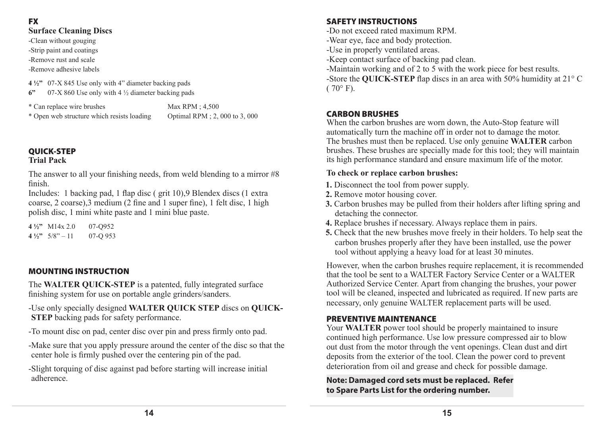#### **FX Surface Cleaning Discs**

-Clean without gouging

-Strip paint and coatings

-Remove rust and scale

-Remove adhesive labels

**4 ½"** 07-X 845 Use only with 4" diameter backing pads

**6"** 07-X 860 Use only with 4 ½ diameter backing pads

| * Can replace wire brushes                 | Max RPM : $4,500$              |
|--------------------------------------------|--------------------------------|
| * Open web structure which resists loading | Optimal RPM ; 2, 000 to 3, 000 |

#### QUICK-STEP **Trial Pack**

The answer to all your finishing needs, from weld blending to a mirror #8 finish.

Includes: 1 backing pad, 1 flap disc ( grit 10),9 Blendex discs (1 extra coarse, 2 coarse),3 medium (2 fine and 1 super fine), 1 felt disc, 1 high polish disc, 1 mini white paste and 1 mini blue paste.

**4 ½"** M14x 2.0 07-Q952  $4\frac{1}{2}$   $\frac{5}{8}$   $\frac{11}{-11}$  07-0 953

### MOUNTING INSTRUCTION

The **WALTER QUICK-STEP** is a patented, fully integrated surface finishing system for use on portable angle grinders/sanders.

#### -Use only specially designed **WALTER QUICK STEP** discs on **QUICK-STEP** backing pads for safety performance.

- -To mount disc on pad, center disc over pin and press firmly onto pad.
- -Make sure that you apply pressure around the center of the disc so that the center hole is firmly pushed over the centering pin of the pad.
- -Slight torquing of disc against pad before starting will increase initial adherence.

#### SAFETY INSTRUCTIONS

-Do not exceed rated maximum RPM.

-Wear eye, face and body protection.

-Use in properly ventilated areas.

-Keep contact surface of backing pad clean.

-Maintain working and of 2 to 5 with the work piece for best results.

-Store the **QUICK-STEP** flap discs in an area with 50% humidity at 21° C  $(70^{\circ} \text{ F})$ .

#### CARBON BRUSHES

When the carbon brushes are worn down, the Auto-Stop feature will automatically turn the machine off in order not to damage the motor. The brushes must then be replaced. Use only genuine **WALTER** carbon brushes. These brushes are specially made for this tool; they will maintain its high performance standard and ensure maximum life of the motor.

#### **To check or replace carbon brushes:**

- **1.** Disconnect the tool from power supply.
- **2.** Remove motor housing cover.
- **3.** Carbon brushes may be pulled from their holders after lifting spring and detaching the connector.
- **4.** Replace brushes if necessary. Always replace them in pairs.
- **5.** Check that the new brushes move freely in their holders. To help seat the carbon brushes properly after they have been installed, use the power tool without applying a heavy load for at least 30 minutes.

However, when the carbon brushes require replacement, it is recommended that the tool be sent to a WALTER Factory Service Center or a WALTER Authorized Service Center. Apart from changing the brushes, your power tool will be cleaned, inspected and lubricated as required. If new parts are necessary, only genuine WALTER replacement parts will be used.

### PREVENTIVE MAINTENANCE

Your **WALTER** power tool should be properly maintained to insure continued high performance. Use low pressure compressed air to blow out dust from the motor through the vent openings. Clean dust and dirt deposits from the exterior of the tool. Clean the power cord to prevent deterioration from oil and grease and check for possible damage.

#### **Note: Damaged cord sets must be replaced. Refer to Spare Parts List for the ordering number.**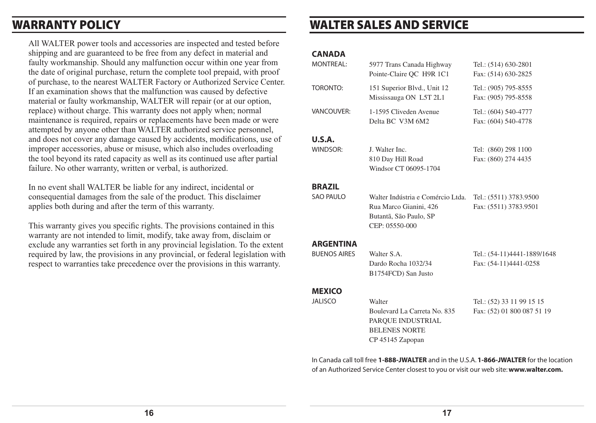## WARRANTY POLICY

All WALTER power tools and accessories are inspected and tested before shipping and are guaranteed to be free from any defect in material and faulty workmanship. Should any malfunction occur within one year from the date of original purchase, return the complete tool prepaid, with proof of purchase, to the nearest WALTER Factory or Authorized Service Center. If an examination shows that the malfunction was caused by defective material or faulty workmanship, WALTER will repair (or at our option, replace) without charge. This warranty does not apply when; normal maintenance is required, repairs or replacements have been made or were attempted by anyone other than WALTER authorized service personnel, and does not cover any damage caused by accidents, modifications, use of improper accessories, abuse or misuse, which also includes overloading the tool beyond its rated capacity as well as its continued use after partial failure. No other warranty, written or verbal, is authorized.

In no event shall WALTER be liable for any indirect, incidental or consequential damages from the sale of the product. This disclaimer applies both during and after the term of this warranty.

This warranty gives you specific rights. The provisions contained in this warranty are not intended to limit, modify, take away from, disclaim or exclude any warranties set forth in any provincial legislation. To the extent required by law, the provisions in any provincial, or federal legislation with respect to warranties take precedence over the provisions in this warranty.

## WALTER SALES AND SERVICE

#### **CANADA**

| <b>MONTREAL:</b>    | 5977 Trans Canada Highway<br>Pointe-Claire QC H9R 1C1                                                   | Tel.: (514) 630-2801<br>Fax: (514) 630-2825             |
|---------------------|---------------------------------------------------------------------------------------------------------|---------------------------------------------------------|
| TORONTO:            | 151 Superior Blvd., Unit 12<br>Mississauga ON L5T 2L1                                                   | Tel.: (905) 795-8555<br>Fax: (905) 795-8558             |
| <b>VANCOUVER:</b>   | 1-1595 Cliveden Avenue<br>Delta BC V3M 6M2                                                              | Tel.: (604) 540-4777<br>Fax: (604) 540-4778             |
| <b>U.S.A.</b>       |                                                                                                         |                                                         |
| <b>WINDSOR:</b>     | J. Walter Inc.<br>810 Day Hill Road<br>Windsor CT 06095-1704                                            | Tel: (860) 298 1100<br>Fax: (860) 274 4435              |
| <b>BRAZIL</b>       |                                                                                                         |                                                         |
| <b>SAO PAULO</b>    | Walter Indústria e Comércio Ltda.<br>Rua Marco Gianini, 426<br>Butantã, São Paulo, SP<br>CEP: 05550-000 | Tel.: (5511) 3783.9500<br>Fax: (5511) 3783.9501         |
| <b>ARGENTINA</b>    |                                                                                                         |                                                         |
| <b>BUENOS AIRES</b> | Walter S.A.<br>Dardo Rocha 1032/34<br>B1754FCD) San Justo                                               | Tel.: (54-11)4441-1889/1648<br>Fax: (54-11)4441-0258    |
| <b>MEXICO</b>       |                                                                                                         |                                                         |
| <b>JALISCO</b>      | Walter<br>Boulevard La Carreta No. 835<br>PARQUE INDUSTRIAL<br><b>BELENES NORTE</b><br>CP 45145 Zapopan | Tel.: (52) 33 11 99 15 15<br>Fax: (52) 01 800 087 51 19 |
|                     |                                                                                                         |                                                         |

In Canada call toll free **1-888-JWALTER** and in the U.S.A. **1-866-JWALTER** for the location of an Authorized Service Center closest to you or visit our web site: **www.walter.com.**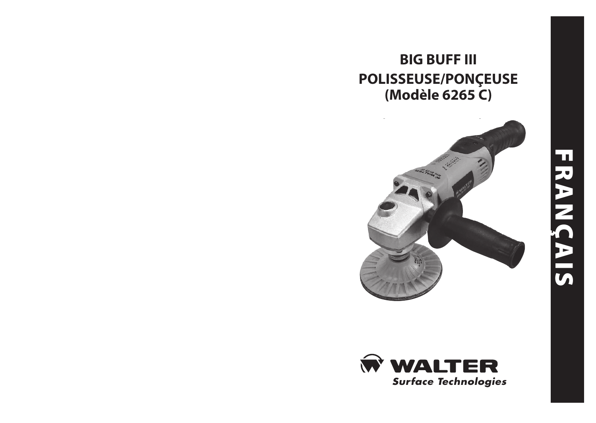# **BIG BUFF III POLISSEUSE/PONÇEUSE (Modèle 6265 C)**



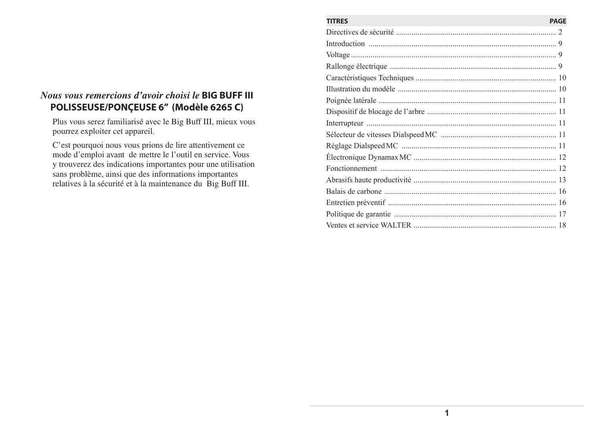### *Nous vous remercions d'avoir choisi le* **BIG BUFF III POLISSEUSE/PONÇEUSE 6" (Modèle 6265 C)**

Plus vous serez familiarisé avec le Big Buff III, mieux vous pourrez exploiter cet appareil.

C'est pourquoi nous vous prions de lire attentivement ce mode d'emploi avant de mettre le l'outil en service. Vous y trouverez des indications importantes pour une utilisation sans problème, ainsi que des informations importantes relatives à la sécurité et à la maintenance du Big Buff III.

| <b>TITRES</b> | <b>PAGE</b> |
|---------------|-------------|
|               |             |
|               |             |
|               |             |
|               |             |
|               |             |
|               |             |
|               |             |
|               |             |
|               |             |
|               |             |
|               |             |
|               |             |
|               |             |
|               |             |
|               |             |
|               |             |
|               |             |
|               |             |
|               |             |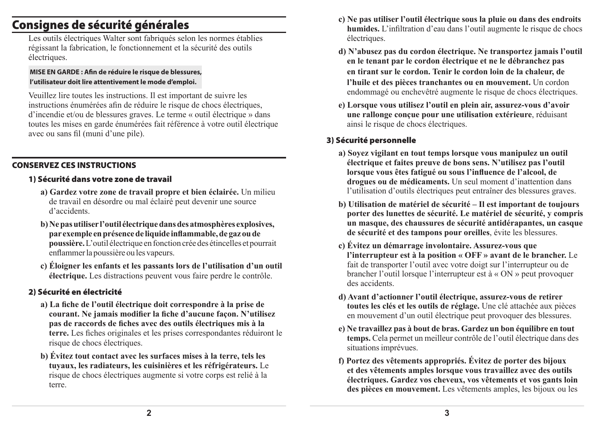## Consignes de sécurité générales

Les outils électriques Walter sont fabriqués selon les normes établies régissant la fabrication, le fonctionnement et la sécurité des outils électriques.

#### **MISE EN GARDE : Afin de réduire le risque de blessures, l'utilisateur doit lire attentivement le mode d'emploi.**

Veuillez lire toutes les instructions. Il est important de suivre les instructions énumérées afin de réduire le risque de chocs électriques. d'incendie et/ou de blessures graves. Le terme « outil électrique » dans toutes les mises en garde énumérées fait référence à votre outil électrique avec ou sans fil (muni d'une pile).

#### CONSERVEZ CES INSTRUCTIONS

#### 1) Sécurité dans votre zone de travail

- **a) Gardez votre zone de travail propre et bien éclairée.** Un milieu de travail en désordre ou mal éclairé peut devenir une source d'accidents.
- **b) Ne pas utiliser l'outil électrique dans des atmosphères explosives, par exemple en présence de liquide inflammable, de gaz ou de poussière.** L'outil électrique en fonction crée des étincelles et pourrait enflammer la poussière ou les vapeurs.
- **c) Éloigner les enfants et les passants lors de l'utilisation d'un outil électrique.** Les distractions peuvent vous faire perdre le contrôle.

### 2) Sécurité en électricité

- **a) La fiche de l'outil électrique doit correspondre à la prise de courant. Ne jamais modifier la fiche d'aucune façon. N'utilisez pas de raccords de fiches avec des outils électriques mis à la terre.** Les fiches originales et les prises correspondantes réduiront le risque de chocs électriques.
- **b) Évitez tout contact avec les surfaces mises à la terre, tels les tuyaux, les radiateurs, les cuisinières et les réfrigérateurs.** Le risque de chocs électriques augmente si votre corps est relié à la terre.
- **c) Ne pas utiliser l'outil électrique sous la pluie ou dans des endroits humides.** L'infiltration d'eau dans l'outil augmente le risque de chocs électriques.
- **d) N'abusez pas du cordon électrique. Ne transportez jamais l'outil en le tenant par le cordon électrique et ne le débranchez pas en tirant sur le cordon. Tenir le cordon loin de la chaleur, de l'huile et des pièces tranchantes ou en mouvement.** Un cordon endommagé ou enchevêtré augmente le risque de chocs électriques.
- **e) Lorsque vous utilisez l'outil en plein air, assurez-vous d'avoir une rallonge conçue pour une utilisation extérieure**, réduisant ainsi le risque de chocs électriques.

#### 3) Sécurité personnelle

- **a) Soyez vigilant en tout temps lorsque vous manipulez un outil électrique et faites preuve de bons sens. N'utilisez pas l'outil lorsque vous êtes fatigué ou sous l'influence de l'alcool, de drogues ou de médicaments.** Un seul moment d'inattention dans l'utilisation d'outils électriques peut entraîner des blessures graves.
- **b) Utilisation de matériel de sécurité Il est important de toujours porter des lunettes de sécurité. Le matériel de sécurité, y compris un masque, des chaussures de sécurité antidérapantes, un casque de sécurité et des tampons pour oreilles**, évite les blessures.
- **c) Évitez un démarrage involontaire. Assurez-vous que l'interrupteur est à la position « OFF » avant de le brancher.** Le fait de transporter l'outil avec votre doigt sur l'interrupteur ou de brancher l'outil lorsque l'interrupteur est à « ON » peut provoquer des accidents.
- **d) Avant d'actionner l'outil électrique, assurez-vous de retirer toutes les clés et les outils de réglage.** Une clé attachée aux pièces en mouvement d'un outil électrique peut provoquer des blessures.
- **e) Ne travaillez pas à bout de bras. Gardez un bon équilibre en tout temps.** Cela permet un meilleur contrôle de l'outil électrique dans des situations imprévues.
- **f) Portez des vêtements appropriés. Évitez de porter des bijoux et des vêtements amples lorsque vous travaillez avec des outils électriques. Gardez vos cheveux, vos vêtements et vos gants loin des pièces en mouvement.** Les vêtements amples, les bijoux ou les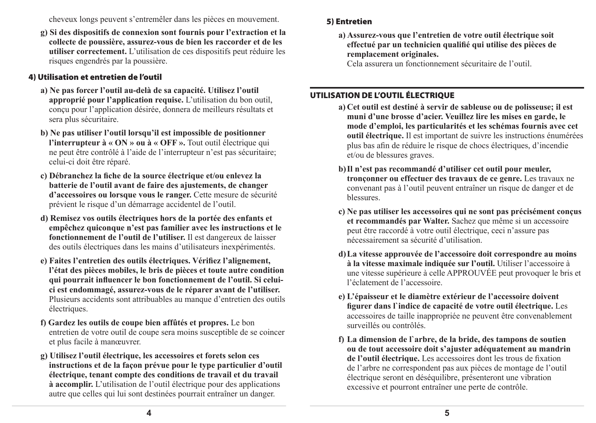cheveux longs peuvent s'entremêler dans les pièces en mouvement.

**g) Si des dispositifs de connexion sont fournis pour l'extraction et la collecte de poussière, assurez-vous de bien les raccorder et de les utiliser correctement.** L'utilisation de ces dispositifs peut réduire les risques engendrés par la poussière.

#### 4) Utilisation et entretien de l'outil

- **a) Ne pas forcer l'outil au-delà de sa capacité. Utilisez l'outil approprié pour l'application requise.** L'utilisation du bon outil, conçu pour l'application désirée, donnera de meilleurs résultats et sera plus sécuritaire.
- **b) Ne pas utiliser l'outil lorsqu'il est impossible de positionner l'interrupteur à « ON » ou à « OFF ».** Tout outil électrique qui ne peut être contrôlé à l'aide de l'interrupteur n'est pas sécuritaire; celui-ci doit être réparé.
- **c) Débranchez la fiche de la source électrique et/ou enlevez la batterie de l'outil avant de faire des ajustements, de changer d'accessoires ou lorsque vous le ranger.** Cette mesure de sécurité prévient le risque d'un démarrage accidentel de l'outil.
- **d) Remisez vos outils électriques hors de la portée des enfants et empêchez quiconque n'est pas familier avec les instructions et le fonctionnement de l'outil de l'utiliser.** Il est dangereux de laisser des outils électriques dans les mains d'utilisateurs inexpérimentés.
- **e) Faites l'entretien des outils électriques. Vérifiez l'alignement, l'état des pièces mobiles, le bris de pièces et toute autre condition qui pourrait influencer le bon fonctionnement de l'outil. Si celuici est endommagé, assurez-vous de le réparer avant de l'utiliser.** Plusieurs accidents sont attribuables au manque d'entretien des outils électriques.
- **f) Gardez les outils de coupe bien affûtés et propres.** Le bon entretien de votre outil de coupe sera moins susceptible de se coincer et plus facile à manœuvrer.
- **g) Utilisez l'outil électrique, les accessoires et forets selon ces instructions et de la façon prévue pour le type particulier d'outil électrique, tenant compte des conditions de travail et du travail à accomplir.** L'utilisation de l'outil électrique pour des applications autre que celles qui lui sont destinées pourrait entraîner un danger.
- 5) Entretien
	- **a) Assurez-vous que l'entretien de votre outil électrique soit effectué par un technicien qualifié qui utilise des pièces de remplacement originales.**

Cela assurera un fonctionnement sécuritaire de l'outil.

#### UTILISATION DE L'OUTIL ÉLECTRIQUE

- **a) Cet outil est destiné à servir de sableuse ou de polisseuse; il est muni d'une brosse d'acier. Veuillez lire les mises en garde, le mode d'emploi, les particularités et les schémas fournis avec cet outil électrique.** Il est important de suivre les instructions énumérées plus bas afin de réduire le risque de chocs électriques, d'incendie et/ou de blessures graves.
- **b) Il n'est pas recommandé d'utiliser cet outil pour meuler, tronçonner ou effectuer des travaux de ce genre.** Les travaux ne convenant pas à l'outil peuvent entraîner un risque de danger et de **blessures**
- **c) Ne pas utiliser les accessoires qui ne sont pas précisément conçus et recommandés par Walter.** Sachez que même si un accessoire peut être raccordé à votre outil électrique, ceci n'assure pas nécessairement sa sécurité d'utilisation.
- **d) La vitesse approuvée de l'accessoire doit correspondre au moins à la vitesse maximale indiquée sur l'outil.** Utiliser l'accessoire à une vitesse supérieure à celle APPROUVÉE peut provoquer le bris et l'éclatement de l'accessoire.
- **e) L'épaisseur et le diamètre extérieur de l'accessoire doivent figurer dans l`indice de capacité de votre outil électrique.** Les accessoires de taille inappropriée ne peuvent être convenablement surveillés ou contrôlés.
- **f) La dimension de l`arbre, de la bride, des tampons de soutien ou de tout accessoire doit s'ajuster adéquatement au mandrin de l'outil électrique.** Les accessoires dont les trous de fixation de l'arbre ne correspondent pas aux pièces de montage de l'outil électrique seront en déséquilibre, présenteront une vibration excessive et pourront entraîner une perte de contrôle.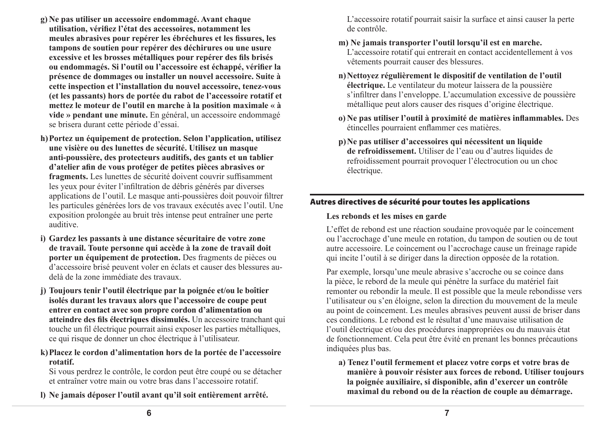- **g) Ne pas utiliser un accessoire endommagé. Avant chaque utilisation, vérifiez l'état des accessoires, notamment les meules abrasives pour repérer les ébréchures et les fissures, les tampons de soutien pour repérer des déchirures ou une usure excessive et les brosses métalliques pour repérer des fils brisés ou endommagés. Si l'outil ou l'accessoire est échappé, vérifier la présence de dommages ou installer un nouvel accessoire. Suite à cette inspection et l'installation du nouvel accessoire, tenez-vous (et les passants) hors de portée du rabot de l'accessoire rotatif et mettez le moteur de l'outil en marche à la position maximale « à vide » pendant une minute.** En général, un accessoire endommagé se brisera durant cette période d'essai.
- **h) Portez un équipement de protection. Selon l'application, utilisez une visière ou des lunettes de sécurité. Utilisez un masque anti-poussière, des protecteurs auditifs, des gants et un tablier d'atelier afin de vous protéger de petites pièces abrasives or fragments.** Les lunettes de sécurité doivent couvrir suffisamment les yeux pour éviter l'infiltration de débris générés par diverses applications de l'outil. Le masque anti-poussières doit pouvoir filtrer les particules générées lors de vos travaux exécutés avec l'outil. Une exposition prolongée au bruit très intense peut entraîner une perte auditive.
- **i) Gardez les passants à une distance sécuritaire de votre zone de travail. Toute personne qui accède à la zone de travail doit porter un équipement de protection.** Des fragments de pièces ou d'accessoire brisé peuvent voler en éclats et causer des blessures audelà de la zone immédiate des travaux.
- **j) Toujours tenir l'outil électrique par la poignée et/ou le boîtier isolés durant les travaux alors que l'accessoire de coupe peut entrer en contact avec son propre cordon d'alimentation ou atteindre des fils électriques dissimulés.** Un accessoire tranchant qui touche un fil électrique pourrait ainsi exposer les parties métalliques, ce qui risque de donner un choc électrique à l'utilisateur.
- **k) Placez le cordon d'alimentation hors de la portée de l'accessoire rotatif.**

Si vous perdrez le contrôle, le cordon peut être coupé ou se détacher et entraîner votre main ou votre bras dans l'accessoire rotatif.

**l) Ne jamais déposer l'outil avant qu'il soit entièrement arrêté.**

L'accessoire rotatif pourrait saisir la surface et ainsi causer la perte de contrôle.

- **m) Ne jamais transporter l'outil lorsqu'il est en marche.** L'accessoire rotatif qui entrerait en contact accidentellement à vos vêtements pourrait causer des blessures.
- **n) Nettoyez régulièrement le dispositif de ventilation de l'outil électrique.** Le ventilateur du moteur laissera de la poussière s'infiltrer dans l'enveloppe. L'accumulation excessive de poussière métallique peut alors causer des risques d'origine électrique.
- **o) Ne pas utiliser l'outil à proximité de matières inflammables.** Des étincelles pourraient enflammer ces matières.
- **p) Ne pas utiliser d'accessoires qui nécessitent un liquide de refroidissement.** Utiliser de l'eau ou d'autres liquides de refroidissement pourrait provoquer l'électrocution ou un choc électrique.

#### Autres directives de sécurité pour toutes les applications

#### **Les rebonds et les mises en garde**

L'effet de rebond est une réaction soudaine provoquée par le coincement ou l'accrochage d'une meule en rotation, du tampon de soutien ou de tout autre accessoire. Le coincement ou l'accrochage cause un freinage rapide qui incite l'outil à se diriger dans la direction opposée de la rotation.

Par exemple, lorsqu'une meule abrasive s'accroche ou se coince dans la pièce, le rebord de la meule qui pénètre la surface du matériel fait remonter ou rebondir la meule. Il est possible que la meule rebondisse vers l'utilisateur ou s'en éloigne, selon la direction du mouvement de la meule au point de coincement. Les meules abrasives peuvent aussi de briser dans ces conditions. Le rebond est le résultat d'une mauvaise utilisation de l'outil électrique et/ou des procédures inappropriées ou du mauvais état de fonctionnement. Cela peut être évité en prenant les bonnes précautions indiquées plus bas.

**a) Tenez l'outil fermement et placez votre corps et votre bras de manière à pouvoir résister aux forces de rebond. Utiliser toujours la poignée auxiliaire, si disponible, afin d'exercer un contrôle maximal du rebond ou de la réaction de couple au démarrage.**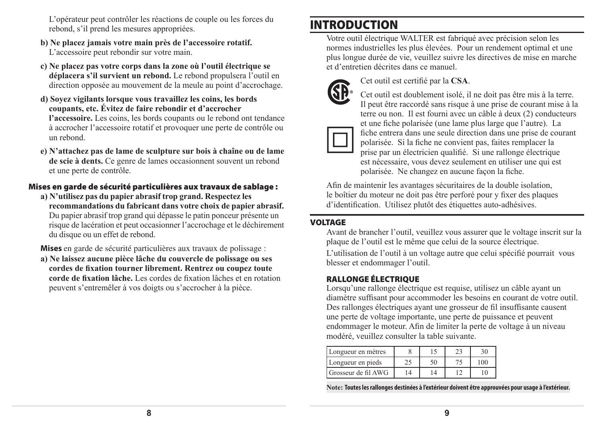L'opérateur peut contrôler les réactions de couple ou les forces du rebond, s'il prend les mesures appropriées.

- **b) Ne placez jamais votre main près de l'accessoire rotatif.** L'accessoire peut rebondir sur votre main.
- **c) Ne placez pas votre corps dans la zone où l'outil électrique se déplacera s'il survient un rebond.** Le rebond propulsera l'outil en direction opposée au mouvement de la meule au point d'accrochage.
- **d) Soyez vigilants lorsque vous travaillez les coins, les bords coupants, etc. Évitez de faire rebondir et d'accrocher l'accessoire.** Les coins, les bords coupants ou le rebond ont tendance à accrocher l'accessoire rotatif et provoquer une perte de contrôle ou un rebond.
- **e) N'attachez pas de lame de sculpture sur bois à chaîne ou de lame de scie à dents.** Ce genre de lames occasionnent souvent un rebond et une perte de contrôle.

#### Mises en garde de sécurité particulières aux travaux de sablage :

**a) N'utilisez pas du papier abrasif trop grand. Respectez les recommandations du fabricant dans votre choix de papier abrasif.** Du papier abrasif trop grand qui dépasse le patin ponceur présente un risque de lacération et peut occasionner l'accrochage et le déchirement du disque ou un effet de rebond.

**Mises** en garde de sécurité particulières aux travaux de polissage :

**a) Ne laissez aucune pièce lâche du couvercle de polissage ou ses cordes de fixation tourner librement. Rentrez ou coupez toute corde de fixation lâche.** Les cordes de fixation lâches et en rotation peuvent s'entremêler à vos doigts ou s'accrocher à la pièce.

## INTRODUCTION

Votre outil électrique WALTER est fabriqué avec précision selon les normes industrielles les plus élevées. Pour un rendement optimal et une plus longue durée de vie, veuillez suivre les directives de mise en marche et d'entretien décrites dans ce manuel.



Cet outil est certifié par la **CSA**.

Cet outil est doublement isolé, il ne doit pas être mis à la terre. Il peut être raccordé sans risque à une prise de courant mise à la terre ou non. Il est fourni avec un câble à deux (2) conducteurs et une fiche polarisée (une lame plus large que l'autre). La fiche entrera dans une seule direction dans une prise de courant polarisée. Si la fiche ne convient pas, faites remplacer la prise par un électricien qualifié. Si une rallonge électrique est nécessaire, vous devez seulement en utiliser une qui est polarisée. Ne changez en aucune façon la fiche.

Afin de maintenir les avantages sécuritaires de la double isolation, le boîtier du moteur ne doit pas être perforé pour y fixer des plaques d'identification. Utilisez plutôt des étiquettes auto-adhésives.

#### VOLTAGE

Avant de brancher l'outil, veuillez vous assurer que le voltage inscrit sur la plaque de l'outil est le même que celui de la source électrique.

L'utilisation de l'outil à un voltage autre que celui spécifié pourrait vous blesser et endommager l'outil.

#### RALLONGE ÉLECTRIQUE

Lorsqu'une rallonge électrique est requise, utilisez un câble ayant un diamètre suffisant pour accommoder les besoins en courant de votre outil. Des rallonges électriques ayant une grosseur de fil insuffisante causent une perte de voltage importante, une perte de puissance et peuvent endommager le moteur. Afin de limiter la perte de voltage à un niveau modéré, veuillez consulter la table suivante.

| Longueur en mètres  |  |  |
|---------------------|--|--|
| Longueur en pieds   |  |  |
| Grosseur de fil AWG |  |  |

**Note: Toutes les rallonges destinées à l'extérieur doivent être approuvées pour usage à l'extérieur.**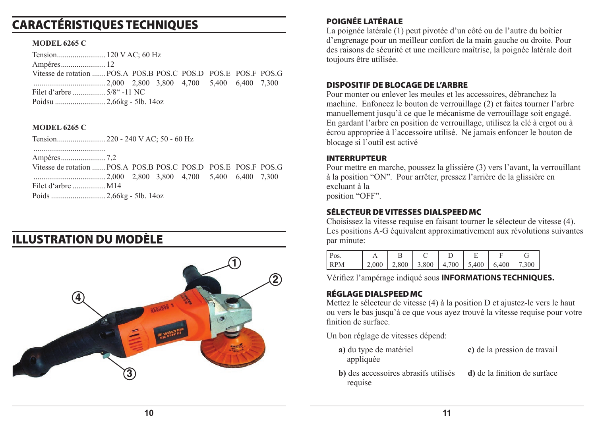#### CARACTÉRISTIQUES TECHNIQUES <u>Chine i Enistre</u>

#### **MODEL 6265 C**

Tension .........................120 V AC; 60 Hz personal injury to the user and damage to the unit. Ampéres .......................12 Vitesse de rotation .......POS.A POS.B POS.C POS.D POS.E POS.F POS.G .....................................2,000 2,800 3,800 4,700 5,400 6,400 7,300 Filet d'arbre .................5/8" -11 NC When an extension cord is required, use one that is sufficient for the power Poidsu ..........................2,66kg - 5lb. 14oz requirement of the tool. Extension cords of inadequate wire size cause a serious  $\text{MODEL}$  6265 C

#### **MODEL 6265 C**

SIDE HANDLE

Tension .........................220 - 240 V AC; 50 - 60 Hz ..................................... Length in meters 8 15 23 30

Ampéres .......................7,2 Length in feet 25 50 75 100

| Vitesse de rotation  POS.A POS.B POS.C POS.D POS.E POS.F POS.G                                                                                                                                                                                                                                                                               |  |  |  |  |
|----------------------------------------------------------------------------------------------------------------------------------------------------------------------------------------------------------------------------------------------------------------------------------------------------------------------------------------------|--|--|--|--|
| $\ldots$ $\ldots$ $\ldots$ $\ldots$ $\ldots$ $\ldots$ $\ldots$ $\ldots$ $\ldots$ $\ldots$ $\ldots$ $\ldots$ $\ldots$ $\ldots$ $\ldots$ $\ldots$ $\ldots$ $\ldots$ $\ldots$ $\ldots$ $\ldots$ $\ldots$ $\ldots$ $\ldots$ $\ldots$ $\ldots$ $\ldots$ $\ldots$ $\ldots$ $\ldots$ $\ldots$ $\ldots$ $\ldots$ $\ldots$ $\ldots$ $\ldots$ $\ldots$ |  |  |  |  |
|                                                                                                                                                                                                                                                                                                                                              |  |  |  |  |
|                                                                                                                                                                                                                                                                                                                                              |  |  |  |  |

## ILLUSTRATION DU MODÈLE MODEL ILLUSTRATION



#### POIGNÉE LATÉRALE

La poignée latérale (1) peut pivotée d'un côté ou de l'autre du boîtier d'engrenage pour un meilleur confort de la main gauche ou droite. Pour des raisons de sécurité et une meilleure maîtrise, la poignée latérale doit toujours être utilisée.

#### DISPOSITIF DE BLOCAGE DE L'ARBRE

drop in voltage, loss of power and possible motor damage. To limit line voltage drop Pour monter ou enlever les meules et les accessoires, débranchez la machine. Enfoncez le bouton de verrouillage (2) et faites tourner l'arbre manuellement jusqu'à ce que le mécanisme de verrouillage soit engagé. En gardant l'arbre en position de verrouillage, utilisez la clé à ergot ou à écrou appropriée à l'accessoire utilisé. Ne jamais enfoncer le bouton de blocage si l'outil est activé

#### INTERRUPTEUR

Pour mettre en marche, poussez la glissière (3) vers l'avant, la verrouillant à la position "ON". Pour arrêter, pressez l'arrière de la glissière en excluant à la position "OFF".

#### SÉLECTEUR DE VITESSES DIALSPEED MC

Choisissez la vitesse requise en faisant tourner le sélecteur de vitesse (4). Les positions A-G équivalent approximativement aux révolutions suivantes par minute:

| 00 | $00\,$<br>$\sim$ | .800<br><u>.</u> | 4<br>$\mathsf{v}\mathsf{v}$ | ,400 | 400<br>$\sqrt{2}$<br>v. | $\sim$ $\sim$ $\sim$ |
|----|------------------|------------------|-----------------------------|------|-------------------------|----------------------|

Vérifiez l'ampérage indiqué sous **INFORMATIONS TECHNIQUES.**

#### RÉGLAGE DIALSPEED MC

Mettez le sélecteur de vitesse (4) à la position D et ajustez-le vers le haut ou vers le bas jusqu'à ce que vous ayez trouvé la vitesse requise pour votre finition de surface.

Un bon réglage de vitesses dépend:

appliquée

**a)** du type de matériel **c)** de la pression de travail

**b**) des accessoires abrasifs utilisés **d**) de la finition de surface requise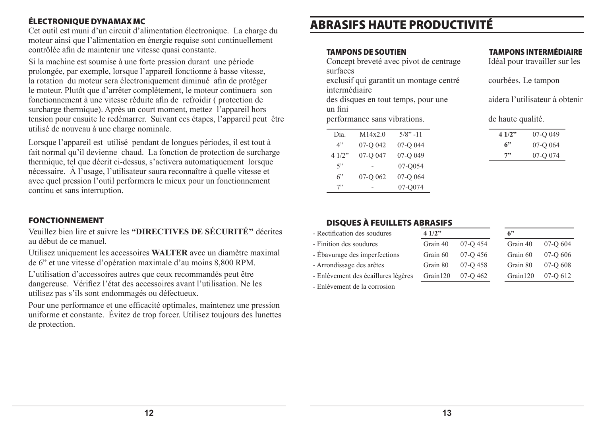#### ÉLECTRONIQUE DYNAMAX MC

Cet outil est muni d'un circuit d'alimentation électronique. La charge du moteur ainsi que l'alimentation en énergie requise sont continuellement contrôlée afin de maintenir une vitesse quasi constante.

Si la machine est soumise à une forte pression durant une période prolongée, par exemple, lorsque l'appareil fonctionne à basse vitesse, la rotation du moteur sera électroniquement diminué afin de protéger le moteur. Plutôt que d'arrêter complètement, le moteur continuera son fonctionnement à une vitesse réduite afin de refroidir ( protection de surcharge thermique). Après un court moment, mettez l'appareil hors tension pour ensuite le redémarrer. Suivant ces étapes, l'appareil peut être utilisé de nouveau à une charge nominale.

Lorsque l'appareil est utilisé pendant de longues périodes, il est tout à fait normal qu'il devienne chaud. La fonction de protection de surcharge thermique, tel que décrit ci-dessus, s'activera automatiquement lorsque nécessaire. À l'usage, l'utilisateur saura reconnaître à quelle vitesse et avec quel pression l'outil performera le mieux pour un fonctionnement continu et sans interruption.

#### FONCTIONNEMENT

Veuillez bien lire et suivre les **"DIRECTIVES DE SÉCURITÉ''** décrites au début de ce manuel.

Utilisez uniquement les accessoires **WALTER** avec un diamètre maximal de 6" et une vitesse d'opération maximale d'au moins 8,800 RPM.

L'utilisation d'accessoires autres que ceux recommandés peut être dangereuse. Vérifiez l'état des accessoires avant l'utilisation. Ne les utilisez pas s'ils sont endommagés ou défectueux.

Pour une performance et une efficacité optimales, maintenez une pression uniforme et constante. Évitez de trop forcer. Utilisez toujours des lunettes de protection.

## ABRASIFS HAUTE PRODUCTIVITÉ

**TAMPONS DE SOUTIEN<br>
Concept breveté avec pivot de centrage** Idéal pour travailler sur les Concept breveté avec pivot de centrage surfaces

exclusif qui garantit un montage centré courbées. Le tampon intermédiaire

des disques en tout temps, pour une aidera l'utilisateur à obtenir un fini

performance sans vibrations. de haute qualité.

| Dia.  | M14x2.0                      | $5/8$ " -11  | 41/2" | 07-Q 049 |
|-------|------------------------------|--------------|-------|----------|
| 4"    | 07-Q 042                     | $07-O$ 044   | 6"    | 07-Q 064 |
| 41/2" | $07-Q$ 047 07-Q 049          |              | 7"    | 07-Q 074 |
| 5"    | $\overline{\phantom{a}}$     | 07-0054      |       |          |
| $6$ " | $07-Q$ 062                   | $07 - 0.064$ |       |          |
| 7"    | $\qquad \qquad \blacksquare$ | 07-Q074      |       |          |
|       |                              |              |       |          |

| 41/2" | $07 - 0.049$ |
|-------|--------------|
| 6"    | $07-0.064$   |
| 7"    | $07 - O$ 074 |

#### DISQUES À FEUILLETS ABRASIFS

| - Rectification des soudures        | 41/2"    |             | 6"       |              |
|-------------------------------------|----------|-------------|----------|--------------|
| - Finition des soudures             | Grain 40 | $07 - 0454$ | Grain 40 | $07 - O$ 604 |
| - Ébavurage des imperfections       | Grain 60 | $07 - 0456$ | Grain 60 | $07 - 0606$  |
| - Arrondissage des arêtes           | Grain 80 | $07 - 0458$ | Grain 80 | $07 - 0608$  |
| - Enlèvement des écaillures légères | Grain120 | $07 - 0462$ | Grain120 | 07-Q 612     |
|                                     |          |             |          |              |

- Enlèvement de la corrosion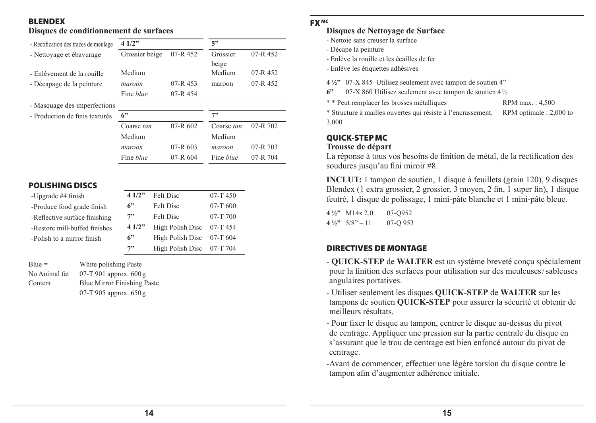#### BLENDEX

#### **Disques de conditionnement de surfaces**

| - Rectification des traces de meulage | 41/2"            |              | 5"               |              |
|---------------------------------------|------------------|--------------|------------------|--------------|
| - Nettoyage et ébavurage              | Grossier beige   | 07-R 452     | Grossier         | $07 - R$ 452 |
|                                       |                  |              | beige            |              |
| - Enlèvement de la rouille            | Medium           |              | Medium           | $07 - R$ 452 |
| - Décapage de la peinture             | maroon           | 07-R 453     | maroon           | $07 - R$ 452 |
|                                       | Fine <i>blue</i> | $07 - R$ 454 |                  |              |
| - Masquage des imperfections          |                  |              |                  |              |
| - Production de finis texturés        | 6"               |              | 7"               |              |
|                                       | Coarse tan       | $07 - R$ 602 | Coarse tan       | 07-R 702     |
|                                       | Medium           |              | Medium           |              |
|                                       | maroon           | $07 - R$ 603 | maroon           | 07-R 703     |
|                                       | Fine <i>blue</i> | $07 - R$ 604 | Fine <i>blue</i> | $07 - R$ 704 |
|                                       |                  |              |                  |              |

#### POLISHING DISCS

| -Upgrade $#4$ finish          | 41/2" | Felt Disc                   | 07-T 450 |
|-------------------------------|-------|-----------------------------|----------|
| -Produce food grade finish    | 6"    | Felt Disc                   | 07-T 600 |
| -Reflective surface finishing | 7"    | <b>Felt Disc</b>            | 07-T 700 |
| -Restore mill-buffed finishes | 41/2" | High Polish Disc $07-T$ 454 |          |
| -Polish to a mirror finish    | 6"    | High Polish Disc $07-T$ 604 |          |
|                               | 7"    | High Polish Disc 07-T 704   |          |

 $Blue =$  White polishing Paste

No Animal fat 07-T 901 approx. 600 g Content Blue Mirror Finishing Paste 07-T 905 approx. 650 g

#### FX MC

#### **Disques de Nettoyage de Surface**

- Nettoie sans creuser la surface
- Décape la peinture
- Enlève la rouille et les écailles de fer
- Enlève les étiquettes adhésives

**4 ½"** 07-X 845 Utilisez seulement avec tampon de soutien 4"

**6"** 07-X 860 Utilisez seulement avec tampon de soutien 4 ½

\* \* Peut remplacer les brosses métalliques RPM max. : 4,500

\* Structure à mailles ouvertes qui résiste à l'encrassement. RPM optimale : 2,000 to 3,000

#### QUICK-STEP MC

#### **Trousse de départ**

La réponse à tous vos besoins de finition de métal, de la rectification des soudures jusqu'au fini miroir #8.

**INCLUT:** 1 tampon de soutien, 1 disque à feuillets (grain 120), 9 disques Blendex (1 extra grossier, 2 grossier, 3 moyen, 2 fin, 1 super fin), 1 disque feutré, 1 disque de polissage, 1 mini-pâte blanche et 1 mini-pâte bleue.

| 4 $\frac{1}{2}$ M14x 2.0       | 07-Q952    |
|--------------------------------|------------|
| $4\frac{1}{2}$ , $5/8$ , $-11$ | $07-Q$ 953 |

#### DIRECTIVES DE MONTAGE

- **QUICK-STEP** de **WALTER** est un système breveté conçu spécialement pour la finition des surfaces pour utilisation sur des meuleuses / sableuses angulaires portatives.
- Utiliser seulement les disques **QUICK-STEP** de **WALTER** sur les tampons de soutien **QUICK-STEP** pour assurer la sécurité et obtenir de meilleurs résultats.
- Pour fixer le disque au tampon, centrer le disque au-dessus du pivot de centrage. Appliquer une pression sur la partie centrale du disque en s'assurant que le trou de centrage est bien enfoncé autour du pivot de centrage.

-Avant de commencer, effectuer une légère torsion du disque contre le tampon afin d'augmenter adhérence initiale.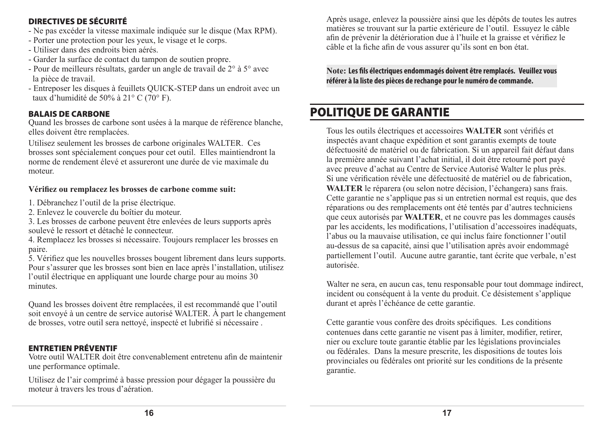#### DIRECTIVES DE SÉCURITÉ

- Ne pas excéder la vitesse maximale indiquée sur le disque (Max RPM).
- Porter une protection pour les yeux, le visage et le corps.
- Utiliser dans des endroits bien aérés.
- Garder la surface de contact du tampon de soutien propre.
- Pour de meilleurs résultats, garder un angle de travail de 2° à 5° avec la pièce de travail.
- Entreposer les disques à feuillets QUICK-STEP dans un endroit avec un taux d'humidité de 50% à 21° C (70° F).

#### BALAIS DE CARBONE

Quand les brosses de carbone sont usées à la marque de référence blanche, elles doivent être remplacées.

Utilisez seulement les brosses de carbone originales WALTER. Ces brosses sont spécialement conçues pour cet outil. Elles maintiendront la norme de rendement élevé et assureront une durée de vie maximale du moteur.

#### **Vérifiez ou remplacez les brosses de carbone comme suit:**

1. Débranchez l'outil de la prise électrique.

2. Enlevez le couvercle du boîtier du moteur.

3. Les brosses de carbone peuvent être enlevées de leurs supports après soulevé le ressort et détaché le connecteur.

4. Remplacez les brosses si nécessaire. Toujours remplacer les brosses en paire.

5. Vérifiez que les nouvelles brosses bougent librement dans leurs supports. Pour s'assurer que les brosses sont bien en lace après l'installation, utilisez l'outil électrique en appliquant une lourde charge pour au moins 30 minutes.

Quand les brosses doivent être remplacées, il est recommandé que l'outil soit envoyé à un centre de service autorisé WALTER. À part le changement de brosses, votre outil sera nettoyé, inspecté et lubrifié si nécessaire .

#### ENTRETIEN PRÉVENTIF

Votre outil WALTER doit être convenablement entretenu afin de maintenir une performance optimale.

Utilisez de l'air comprimé à basse pression pour dégager la poussière du moteur à travers les trous d'aération.

Après usage, enlevez la poussière ainsi que les dépôts de toutes les autres matières se trouvant sur la partie extérieure de l'outil. Essuyez le câble afin de prévenir la détérioration due à l'huile et la graisse et vérifiez le câble et la fiche afin de vous assurer qu'ils sont en bon état.

**Note: Les fils électriques endommagés doivent être remplacés. Veuillez vous référer à la liste des pièces de rechange pour le numéro de commande.**

## POLITIQUE DE GARANTIE

Tous les outils électriques et accessoires **WALTER** sont vérifiés et inspectés avant chaque expédition et sont garantis exempts de toute défectuosité de matériel ou de fabrication. Si un appareil fait défaut dans la première année suivant l'achat initial, il doit être retourné port payé avec preuve d'achat au Centre de Service Autorisé Walter le plus près. Si une vérification révèle une défectuosité de matériel ou de fabrication, **WALTER** le réparera (ou selon notre décision, l'échangera) sans frais. Cette garantie ne s'applique pas si un entretien normal est requis, que des réparations ou des remplacements ont été tentés par d'autres techniciens que ceux autorisés par **WALTER**, et ne couvre pas les dommages causés par les accidents, les modifications, l'utilisation d'accessoires inadéquats, l'abus ou la mauvaise utilisation, ce qui inclus faire fonctionner l'outil au-dessus de sa capacité, ainsi que l'utilisation après avoir endommagé partiellement l'outil. Aucune autre garantie, tant écrite que verbale, n'est autorisée.

Walter ne sera, en aucun cas, tenu responsable pour tout dommage indirect, incident ou conséquent à la vente du produit. Ce désistement s'applique durant et après l'échéance de cette garantie.

Cette garantie vous confère des droits spécifiques. Les conditions contenues dans cette garantie ne visent pas à limiter, modifier, retirer, nier ou exclure toute garantie établie par les législations provinciales ou fédérales. Dans la mesure prescrite, les dispositions de toutes lois provinciales ou fédérales ont priorité sur les conditions de la présente garantie.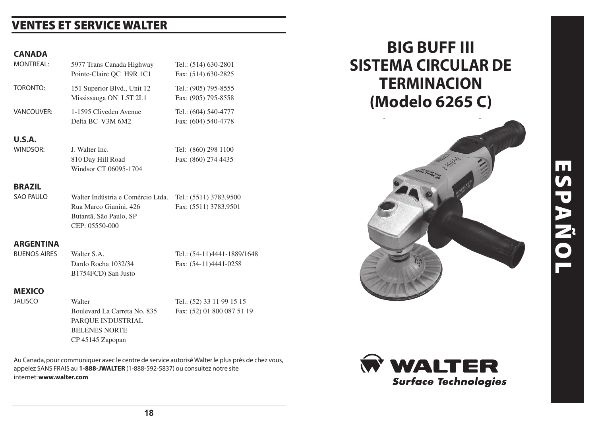## VENTES ET SERVICE WALTER

#### **CANADA**

| <b>MONTREAL:</b> | 5977 Trans Canada Highway<br>Pointe-Claire QC H9R 1C1 | Tel.: (514) 630-2801<br>Fax: (514) 630-2825 |
|------------------|-------------------------------------------------------|---------------------------------------------|
| TORONTO:         | 151 Superior Blvd., Unit 12<br>Mississauga ON L5T 2L1 | Tel.: (905) 795-8555<br>Fax: (905) 795-8558 |
| VANCOUVER:       | 1-1595 Cliveden Avenue<br>Delta BC V3M 6M2            | Tel.: (604) 540-4777<br>Fax: (604) 540-4778 |

#### **U.S.A.**

- WINDSOR: J. Walter Inc. 810 Day Hill Road Windsor CT 06095-1704
- Tel: (860) 298 1100 Fax: (860) 274 4435

#### **BRAZIL**

SAO PAULO Walter Indústria e Comércio Ltda. Tel.: (5511) 3783.9500 Rua Marco Gianini, 426 Butantã, São Paulo, SP CEP: 05550-000

Fax: (5511) 3783.9501

#### **ARGENTINA**

BUENOS AIRES Walter S.A. Dardo Rocha 1032/34 B1754FCD) San Justo Tel.: (54-11)4441-1889/1648 Fax: (54-11)4441-0258

#### **MEXICO**

- JALISCO Walter
	- Boulevard La Carreta No. 835 PARQUE INDUSTRIAL BELENES NORTE CP 45145 Zapopan

Tel.: (52) 33 11 99 15 15 Fax: (52) 01 800 087 51 19

Au Canada, pour communiquer avec le centre de service autorisé Walter le plus près de chez vous, appelez SANS FRAIS au **1-888-JWALTER** (1-888-592-5837) ou consultez notre site internet: **www.walter.com**

## **BIG BUFF III SISTEMA CIRCULAR DE TERMINACION BIG BUFF III (Modelo 6265 C) (Model 6265 C)**





# l publ  $\boldsymbol{\mathsf{S}}$ PAZ OPAÑOL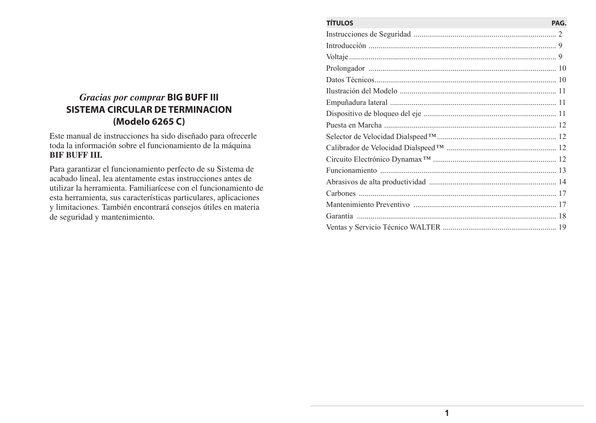### *Gracias por comprar* **BIG BUFF III SISTEMA CIRCULAR DE TERMINACION (Modelo 6265 C)**

Este manual de instrucciones ha sido diseñado para ofrecerle toda la información sobre el funcionamiento de la máquina **BIF BUFF III.**

Para garantizar el funcionamiento perfecto de su Sistema de acabado lineal, lea atentamente estas instrucciones antes de utilizar la herramienta. Familiarícese con el funcionamiento de esta herramienta, sus características particulares, aplicaciones y limitaciones. También encontrará consejos útiles en materia de seguridad y mantenimiento.

| <b>TÍTULOS</b> | PAG. |
|----------------|------|
|                |      |
|                |      |
|                |      |
|                |      |
|                |      |
|                |      |
|                |      |
|                |      |
|                |      |
|                |      |
|                |      |
|                |      |
|                |      |
|                |      |
|                |      |
|                |      |
|                |      |
|                |      |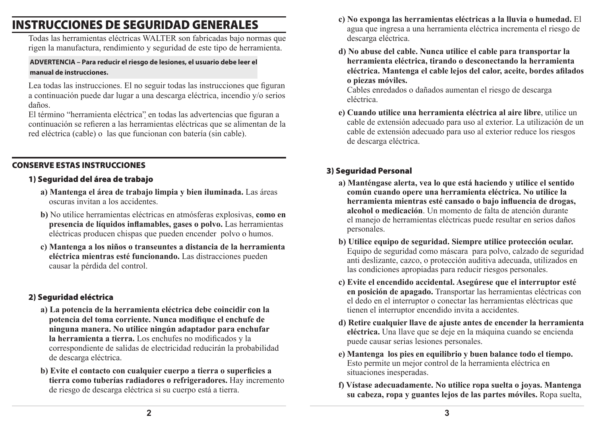## INSTRUCCIONES DE SEGURIDAD GENERALES

Todas las herramientas eléctricas WALTER son fabricadas bajo normas que rigen la manufactura, rendimiento y seguridad de este tipo de herramienta.

#### **ADVERTENCIA – Para reducir el riesgo de lesiones, el usuario debe leer el manual de instrucciones.**

Lea todas las instrucciones. El no seguir todas las instrucciones que figuran a continuación puede dar lugar a una descarga eléctrica, incendio y/o serios daños.

El término "herramienta eléctrica" en todas las advertencias que figuran a continuación se refieren a las herramientas eléctricas que se alimentan de la red eléctrica (cable) o las que funcionan con batería (sin cable).

#### CONSERVE ESTAS INSTRUCCIONES

#### 1) Seguridad del área de trabajo

- **a) Mantenga el área de trabajo limpia y bien iluminada.** Las áreas oscuras invitan a los accidentes.
- **b)** No utilice herramientas eléctricas en atmósferas explosivas, **como en presencia de líquidos inflamables, gases o polvo.** Las herramientas eléctricas producen chispas que pueden encender polvo o humos.
- **c) Mantenga a los niños o transeuntes a distancia de la herramienta eléctrica mientras esté funcionando.** Las distracciones pueden causar la pérdida del control.

#### 2) Seguridad eléctrica

- **a) La potencia de la herramienta eléctrica debe coincidir con la potencia del toma corriente. Nunca modifique el enchufe de ninguna manera. No utilice ningún adaptador para enchufar la herramienta a tierra.** Los enchufes no modificados y la correspondiente de salidas de electricidad reducirán la probabilidad de descarga eléctrica.
- **b) Evite el contacto con cualquier cuerpo a tierra o superficies a tierra como tuberías radiadores o refrigeradores.** Hay incremento de riesgo de descarga eléctrica si su cuerpo está a tierra.
- **c) No exponga las herramientas eléctricas a la lluvia o humedad.** El agua que ingresa a una herramienta eléctrica incrementa el riesgo de descarga eléctrica.
- **d) No abuse del cable. Nunca utilice el cable para transportar la herramienta eléctrica, tirando o desconectando la herramienta eléctrica. Mantenga el cable lejos del calor, aceite, bordes afilados o piezas móviles.**

Cables enredados o dañados aumentan el riesgo de descarga eléctrica.

**e) Cuando utilice una herramienta eléctrica al aire libre**, utilice un cable de extensión adecuado para uso al exterior. La utilización de un cable de extensión adecuado para uso al exterior reduce los riesgos de descarga eléctrica.

#### 3) Seguridad Personal

- **a) Manténgase alerta, vea lo que está haciendo y utilice el sentido común cuando opere una herramienta eléctrica. No utilice la herramienta mientras esté cansado o bajo influencia de drogas, alcohol o medicación**. Un momento de falta de atención durante el manejo de herramientas eléctricas puede resultar en serios daños personales.
- **b) Utilice equipo de seguridad. Siempre utilice protección ocular.** Equipo de seguridad como máscara para polvo, calzado de seguridad anti deslizante, cazco, o protección auditiva adecuada, utilizados en las condiciones apropiadas para reducir riesgos personales.
- **c) Evite el encendido accidental. Asegúrese que el interruptor esté en posición de apagado.** Transportar las herramientas eléctricas con el dedo en el interruptor o conectar las herramientas eléctricas que tienen el interruptor encendido invita a accidentes.
- **d) Retire cualquier llave de ajuste antes de encender la herramienta eléctrica.** Una llave que se deje en la máquina cuando se encienda puede causar serias lesiones personales.
- **e) Mantenga los pies en equilibrio y buen balance todo el tiempo.** Esto permite un mejor control de la herramienta eléctrica en situaciones inesperadas.
- **f) Vístase adecuadamente. No utilice ropa suelta o joyas. Mantenga su cabeza, ropa y guantes lejos de las partes móviles.** Ropa suelta,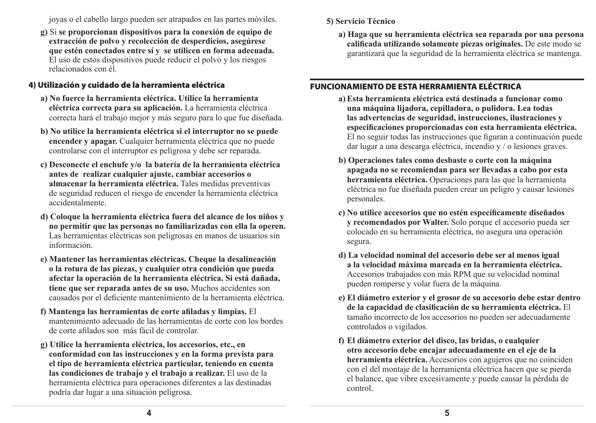joyas o el cabello largo pueden ser atrapados en las partes móviles.

**g)** Si **se proporcionan dispositivos para la conexión de equipo de extracción de polvo y recolección de desperdicios, asegúrese que estén conectados entre sí y se utilicen en forma adecuada.** El uso de estos dispositivos puede reducir el polvo y los riesgos relacionados con él.

#### 4) Utilización y cuidado de la herramienta eléctrica

- **a) No fuerce la herramienta eléctrica. Utilice la herramienta eléctrica correcta para su aplicación.** La herramienta eléctrica correcta hará el trabajo mejor y más seguro para lo que fue diseñada.
- **b) No utilice la herramienta eléctrica si el interruptor no se puede encender y apagar.** Cualquier herramienta eléctrica que no puede controlarse con el interruptor es peligrosa y debe ser reparada.
- **c) Desconecte el enchufe y/o la batería de la herramienta eléctrica antes de realizar cualquier ajuste, cambiar accesorios o almacenar la herramienta eléctrica.** Tales medidas preventivas de seguridad reducen el riesgo de encender la herramienta eléctrica accidentalmente.
- **d) Coloque la herramienta eléctrica fuera del alcance de los niños y no permitir que las personas no familiarizadas con ella la operen.** Las herramientas eléctricas son peligrosas en manos de usuarios sin información.
- **e) Mantener las herramientas eléctricas. Cheque la desalineación o la rotura de las piezas, y cualquier otra condición que pueda afectar la operación de la herramienta eléctrica. Si está dañada, tiene que ser reparada antes de su uso.** Muchos accidentes son causados por el deficiente mantenimiento de la herramienta eléctrica.
- **f) Mantenga las herramientas de corte afiladas y limpias.** El mantenimiento adecuado de las herramientas de corte con los bordes de corte afilados son más fácil de controlar.
- **g) Utilice la herramienta eléctrica, los accesorios, etc., en conformidad con las instrucciones y en la forma prevista para el tipo de herramienta eléctrica particular, teniendo en cuenta las condiciones de trabajo y el trabajo a realizar.** El uso de la herramienta eléctrica para operaciones diferentes a las destinadas podría dar lugar a una situación peligrosa.
- **5) Servicio Técnico**
	- **a) Haga que su herramienta eléctrica sea reparada por una persona calificada utilizando solamente piezas originales.** De este modo se garantizará que la seguridad de la herramienta eléctrica se mantenga.

### FUNCIONAMIENTO DE ESTA HERRAMIENTA ELÉCTRICA

- **a) Esta herramienta eléctrica está destinada a funcionar como una máquina lijadora, cepilladora, o pulidora. Lea todas las advertencias de seguridad, instrucciones, ilustraciones y especificaciones proporcionadas con esta herramienta eléctrica.** El no seguir todas las instrucciones que figuran a continuación puede dar lugar a una descarga eléctrica, incendio y / o lesiones graves.
- **b) Operaciones tales como desbaste o corte con la máquina apagada no se recomiendan para ser llevadas a cabo por esta herramienta eléctrica.** Operaciones para las que la herramienta eléctrica no fue diseñada pueden crear un peligro y causar lesiones personales.
- **c) No utilice accesorios que no estén específicamente diseñados y recomendados por Walter.** Solo porque el accesorio pueda ser colocado en su herramienta eléctrica, no asegura una operación segura.
- **d) La velocidad nominal del accesorio debe ser al menos igual a la velocidad máxima marcada en la herramienta eléctrica.** Accesorios trabajados con más RPM que su velocidad nominal pueden romperse y volar fuera de la máquina.
- **e) El diámetro exterior y el grosor de su accesorio debe estar dentro de la capacidad de clasificación de su herramienta eléctrica.** El tamaño incorrecto de los accesorios no pueden ser adecuadamente controlados o vigilados.
- **f) El diámetro exterior del disco, las bridas, o cualquier otro accesorio debe encajar adecuadamente en el eje de la herramienta eléctrica.** Accesorios con agujeros que no coinciden con el del montaje de la herramienta eléctrica hacen que se pierda el balance, que vibre excesivamente y puede causar la pérdida de control.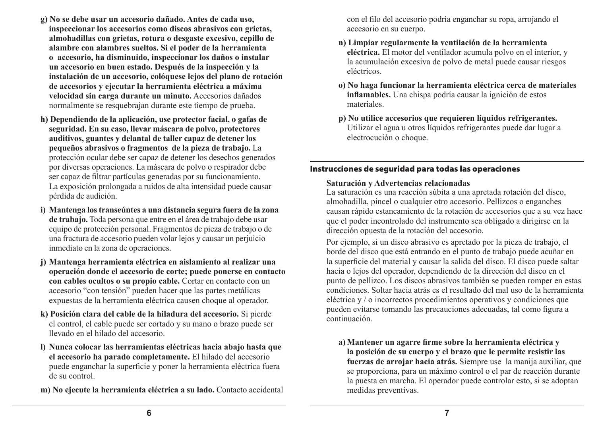- **g) No se debe usar un accesorio dañado. Antes de cada uso, inspeccionar los accesorios como discos abrasivos con grietas, almohadillas con grietas, rotura o desgaste excesivo, cepillo de alambre con alambres sueltos. Si el poder de la herramienta o accesorio, ha disminuido, inspeccionar los daños o instalar un accesorio en buen estado. Después de la inspección y la instalación de un accesorio, colóquese lejos del plano de rotación de accesorios y ejecutar la herramienta eléctrica a máxima velocidad sin carga durante un minuto.** Accesorios dañados normalmente se resquebrajan durante este tiempo de prueba.
- **h) Dependiendo de la aplicación, use protector facial, o gafas de seguridad. En su caso, llevar máscara de polvo, protectores auditivos, guantes y delantal de taller capaz de detener los pequeños abrasivos o fragmentos de la pieza de trabajo.** La protección ocular debe ser capaz de detener los desechos generados por diversas operaciones. La máscara de polvo o respirador debe ser capaz de filtrar partículas generadas por su funcionamiento. La exposición prolongada a ruidos de alta intensidad puede causar pérdida de audición.
- **i) Mantenga los transeúntes a una distancia segura fuera de la zona de trabajo.** Toda persona que entre en el área de trabajo debe usar equipo de protección personal. Fragmentos de pieza de trabajo o de una fractura de accesorio pueden volar lejos y causar un perjuicio inmediato en la zona de operaciones.
- **j) Mantenga herramienta eléctrica en aislamiento al realizar una operación donde el accesorio de corte; puede ponerse en contacto con cables ocultos o su propio cable.** Cortar en contacto con un accesorio "con tensión" pueden hacer que las partes metálicas expuestas de la herramienta eléctrica causen choque al operador.
- **k) Posición clara del cable de la hiladura del accesorio.** Si pierde el control, el cable puede ser cortado y su mano o brazo puede ser llevado en el hilado del accesorio.
- **l) Nunca colocar las herramientas eléctricas hacia abajo hasta que el accesorio ha parado completamente.** El hilado del accesorio puede enganchar la superficie y poner la herramienta eléctrica fuera de su control.
- **m) No ejecute la herramienta eléctrica a su lado.** Contacto accidental

con el filo del accesorio podría enganchar su ropa, arrojando el accesorio en su cuerpo.

- **n) Limpiar regularmente la ventilación de la herramienta eléctrica.** El motor del ventilador acumula polvo en el interior, y la acumulación excesiva de polvo de metal puede causar riesgos eléctricos.
- **o) No haga funcionar la herramienta eléctrica cerca de materiales inflamables.** Una chispa podría causar la ignición de estos materiales.
- **p) No utilice accesorios que requieren líquidos refrigerantes.** Utilizar el agua u otros líquidos refrigerantes puede dar lugar a electrocución o choque.

#### Instrucciones de seguridad para todas las operaciones

#### **Saturación y Advertencias relacionadas**

La saturación es una reacción súbita a una apretada rotación del disco, almohadilla, pincel o cualquier otro accesorio. Pellizcos o enganches causan rápido estancamiento de la rotación de accesorios que a su vez hace que el poder incontrolado del instrumento sea obligado a dirigirse en la dirección opuesta de la rotación del accesorio.

Por ejemplo, si un disco abrasivo es apretado por la pieza de trabajo, el borde del disco que está entrando en el punto de trabajo puede acuñar en la superficie del material y causar la salida del disco. El disco puede saltar hacia o lejos del operador, dependiendo de la dirección del disco en el punto de pellizco. Los discos abrasivos también se pueden romper en estas condiciones. Soltar hacia atrás es el resultado del mal uso de la herramienta eléctrica y / o incorrectos procedimientos operativos y condiciones que pueden evitarse tomando las precauciones adecuadas, tal como figura a continuación.

**a) Mantener un agarre firme sobre la herramienta eléctrica y la posición de su cuerpo y el brazo que le permite resistir las fuerzas de arrojar hacia atrás.** Siempre use la manija auxiliar, que se proporciona, para un máximo control o el par de reacción durante la puesta en marcha. El operador puede controlar esto, si se adoptan medidas preventivas.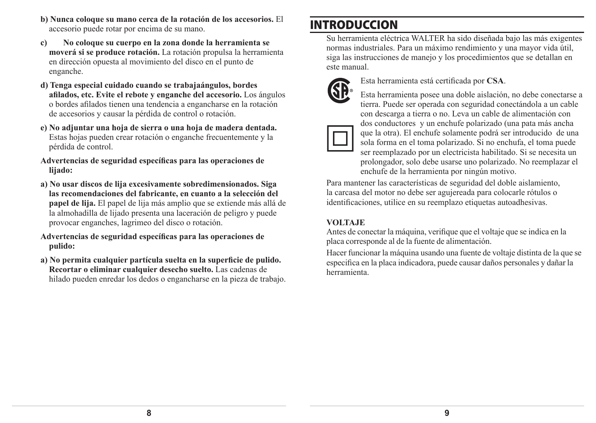- **b) Nunca coloque su mano cerca de la rotación de los accesorios.** El accesorio puede rotar por encima de su mano.
- **c) No coloque su cuerpo en la zona donde la herramienta se moverá si se produce rotación.** La rotación propulsa la herramienta en dirección opuesta al movimiento del disco en el punto de enganche.
- **d) Tenga especial cuidado cuando se trabajaángulos, bordes afilados, etc. Evite el rebote y enganche del accesorio.** Los ángulos o bordes afilados tienen una tendencia a engancharse en la rotación de accesorios y causar la pérdida de control o rotación.
- **e) No adjuntar una hoja de sierra o una hoja de madera dentada.** Estas hojas pueden crear rotación o enganche frecuentemente y la pérdida de control.
- **Advertencias de seguridad específicas para las operaciones de lijado:**
- **a) No usar discos de lija excesivamente sobredimensionados. Siga las recomendaciones del fabricante, en cuanto a la selección del papel de lija.** El papel de lija más amplio que se extiende más allá de la almohadilla de lijado presenta una laceración de peligro y puede provocar enganches, lagrimeo del disco o rotación.
- **Advertencias de seguridad específicas para las operaciones de pulido:**
- **a) No permita cualquier partícula suelta en la superficie de pulido. Recortar o eliminar cualquier desecho suelto.** Las cadenas de hilado pueden enredar los dedos o engancharse en la pieza de trabajo.

## INTRODUCCION

Su herramienta eléctrica WALTER ha sido diseñada bajo las más exigentes normas industriales. Para un máximo rendimiento y una mayor vida útil, siga las instrucciones de manejo y los procedimientos que se detallan en este manual.



Esta herramienta está certificada por **CSA**.

Esta herramienta posee una doble aislación, no debe conectarse a tierra. Puede ser operada con seguridad conectándola a un cable con descarga a tierra o no. Leva un cable de alimentación con dos conductores y un enchufe polarizado (una pata más ancha que la otra). El enchufe solamente podrá ser introducido de una sola forma en el toma polarizado. Si no enchufa, el toma puede ser reemplazado por un electricista habilitado. Si se necesita un prolongador, solo debe usarse uno polarizado. No reemplazar el enchufe de la herramienta por ningún motivo.

Para mantener las características de seguridad del doble aislamiento, la carcasa del motor no debe ser agujereada para colocarle rótulos o identificaciones, utilice en su reemplazo etiquetas autoadhesivas.

#### **VOLTAJE**

Antes de conectar la máquina, verifique que el voltaje que se indica en la placa corresponde al de la fuente de alimentación.

Hacer funcionar la máquina usando una fuente de voltaje distinta de la que se especifica en la placa indicadora, puede causar daños personales y dañar la herramienta.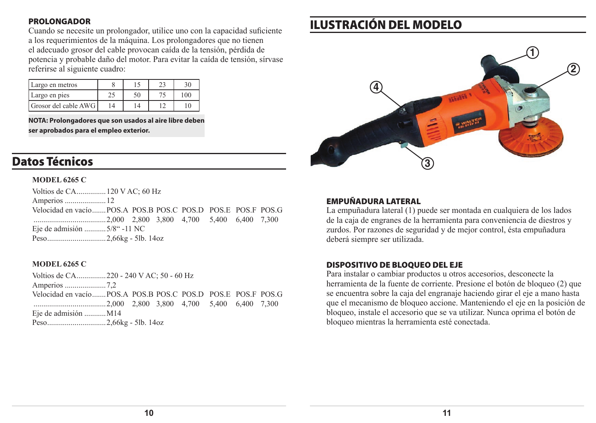#### PROLONGADOR

Cuando se necesite un prolongador, utilice uno con la capacidad suficiente a los requerimientos de la máquina. Los prolongadores que no tienen el adecuado grosor del cable provocan caída de la tensión, pérdida de potencia y probable daño del motor. Para evitar la caída de tensión, sírvase referirse al siguiente cuadro:

| Largo en metros      |    | 30  |
|----------------------|----|-----|
| Largo en pies        | 50 | 100 |
| Grosor del cable AWG | 14 | 10  |

**NOTA: Prolongadores que son usados al aire libre deben ser aprobados para el empleo exterior.**

## Datos Técnicos

#### **MODEL 6265 C**

SIDE HANDLE Voltios de CA ...............120 V AC; 60 Hz Amperios .....................12 Velocidad en vacío .......POS.A POS.B POS.C POS.D POS.E POS.F POS.G .....................................2,000 2,800 3,800 4,700 5,400 6,400 7,300 Eje de admisión ...........5/8" -11 NC Peso ..............................2,66kg - 5lb. 14oz

#### **MODEL 6265 C**

Voltios de CA ...............220 - 240 V AC; 50 - 60 Hz Amperios .....................7,2 Velocidad en vacío .......POS.A POS.B POS.C POS.D POS.E POS.F POS.G .....................................2,000 2,800 3,800 4,700 5,400 6,400 7,300 Eje de admisión ...........M14 Peso ..............................2,66kg - 5lb. 14oz

#### ILUSTRACIÓN DEL MODELO **MUSTRACIÓN DE**L



#### EMPUÑADURA LATERAL

S.G La empuñadura lateral (1) puede ser montada en cualquiera de los lados 00 de la caja de engranes de la herramienta para conveniencia de diestros y zurdos. Por razones de seguridad y de mejor control, ésta empuñadura deberá siempre ser utilizada.

#### DISPOSITIVO DE BLOQUEO DEL EJE

**8** herramienta de la fuente de corriente. Presione el botón de bloqueo (2) que Para instalar o cambiar productos u otros accesorios, desconecte la se encuentra sobre la caja del engranaje haciendo girar el eje a mano hasta que el mecanismo de bloqueo accione. Manteniendo el eje en la posición de bloqueo, instale el accesorio que se va utilizar. Nunca oprima el botón de bloqueo mientras la herramienta esté conectada.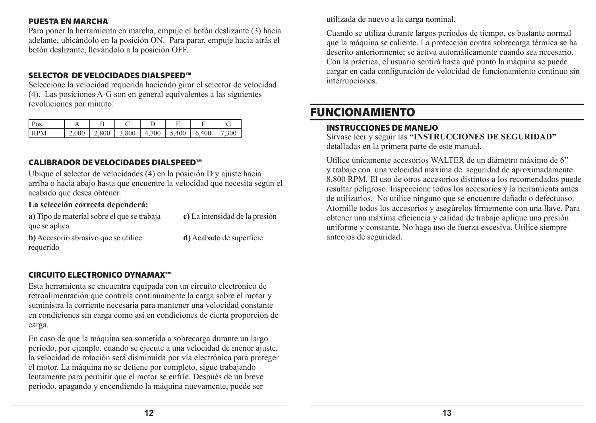#### PUESTA EN MARCHA

Para poner la herramienta en marcha, empuje el botón deslizante (3) hacia adelante, ubicándolo en la posición ON. Para parar, empuje hacia atrás el botón deslizante, llevándolo a la posición OFF.

#### SELECTOR DE VELOCIDADES DIALSPEED™

Seleccione la velocidad requerida haciendo girar el selector de velocidad (4). Las posiciones A-G son en general equivalentes a las siguientes revoluciones por minuto:

| IPDM | 800 | 3.800 | 4,700 | -5.400. | ገበ |  |
|------|-----|-------|-------|---------|----|--|

#### CALIBRADOR DE VELOCIDADES DIALSPEED™

Ubique el selector de velocidades (4) en la posición D y ajuste hacia arriba o hacia abajo hasta que encuentre la velocidad que necesita según el acabado que desea obtener.

#### **La selección correcta dependerá:**

| a) Tipo de material sobre el que se trabaja | c) La intensidad de la presión |
|---------------------------------------------|--------------------------------|
| que se aplica                               |                                |
| b) Accesorio abrasivo que se utilice        | d) Acabado de superficie       |
| requerido                                   |                                |

#### CIRCUITO ELECTRONICO DYNAMAX™

Esta herramienta se encuentra equipada con un circuito electrónico de retroalimentación que controla continuamente la carga sobre el motor y suministra la corriente necesaria para mantener una velocidad constante en condiciones sin carga como así en condiciones de cierta proporción de carga.

En caso de que la máquina sea sometida a sobrecarga durante un largo período, por ejemplo, cuando se ejecute a una velocidad de menor ajuste, la velocidad de rotación será disminuida por vía electrónica para proteger el motor. La máquina no se detiene por completo, sigue trabajando lentamente para permitir que el motor se enfríe. Después de un breve período, apagando y encendiendo la máquina nuevamente, puede ser

utilizada de nuevo a la carga nominal.

Cuando se utiliza durante largos períodos de tiempo, es bastante normal que la máquina se caliente. La protección contra sobrecarga térmica se ha descrito anteriormente; se activa automáticamente cuando sea necesario. Con la práctica, el usuario sentirá hasta qué punto la máquina se puede cargar en cada configuración de velocidad de funcionamiento continuo sin interrupciones.

## FUNCIONAMIENTO

#### INSTRUCCIONES DE MANEJO

Sírvase leer y seguir las **"INSTRUCCIONES DE SEGURIDAD"** detalladas en la primera parte de este manual.

Utilice únicamente accesorios WALTER de un diámetro máximo de 6" y trabaje con una velocidad máxima de seguridad de aproximadamente 8.800 RPM. El uso de otros accesorios distintos a los recomendados puede resultar peligroso. Inspeccione todos los accesorios y la herramienta antes de utilizarlos. No utilice ninguno que se encuentre dañado o defectuoso. Atornille todos los accesorios y asegúrelos firmemente con una llave. Para obtener una máxima eficiencia y calidad de trabajo aplique una presión uniforme y constante. No haga uso de fuerza excesiva. Utilice siempre anteojos de seguridad.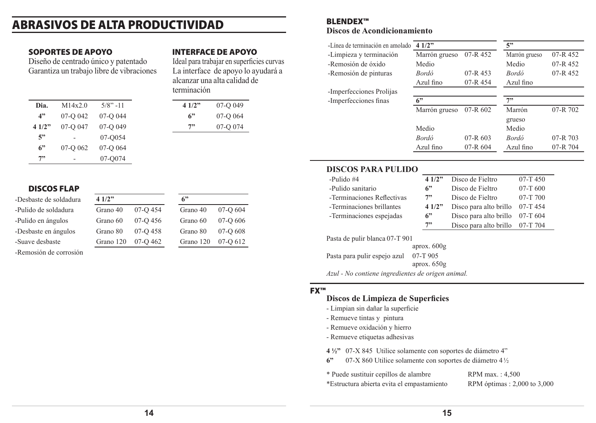## ABRASIVOS DE ALTA PRODUCTIVIDAD

**SOPORTES DE APOYO**<br>Diseño de centrado único y patentado Ideal para trabajar en superficies curvas Diseño de centrado único y patentado Ideal para trabajar en superficies curvas<br>Garantiza un trabajo libre de vibraciones La interface de apoyo lo ayudará a Garantiza un trabajo libre de vibraciones

| Dia.  | M14x2.0      | $5/8$ " -11 | 41/2" | 07-Q 049 |
|-------|--------------|-------------|-------|----------|
| 4"    | $07 - 0.042$ | 07-Q 044    | 6"    | 07-Q 064 |
| 41/2" | 07-Q 047     | 07-Q 049    | 7"    | 07-Q 074 |
| 5"    |              | 07-0054     |       |          |
| 6"    | $07 - 0062$  | 07-Q 064    |       |          |
| 7"    |              | 07-Q074     |       |          |

#### DISCOS FLAP

| -------------          |                    |             |           |            |
|------------------------|--------------------|-------------|-----------|------------|
| -Desbaste de soldadura | 41/2"              |             | 6"        |            |
| -Pulido de soldadura   | Grano 40           | $07 - 0454$ | Grano 40  | $07-Q$ 604 |
| -Pulido en ángulos     | Grano 60           | $07-0.456$  | Grano 60  | 07-Q 606   |
| -Desbaste en ángulos   | Grano 80           | $07 - 0458$ | Grano 80  | $07-Q$ 608 |
| -Suave desbaste        | Grano 120 07-Q 462 |             | Grano 120 | $07-Q$ 612 |
|                        |                    |             |           |            |

-Remosión de corrosión

alcanzar una alta calidad de terminación

| 4 1/2" | $07 - O$ 049 |
|--------|--------------|
| 6"     | $07-0.064$   |
| 7"     | $07-Q$ 074   |
|        |              |

#### BLENDEX™

#### **Discos de Acondicionamiento**

| -Línea de terminación en amolado | 41/2"         |              | 5"            |              |
|----------------------------------|---------------|--------------|---------------|--------------|
| -Limpieza y terminación          | Marrón grueso | 07-R 452     | Marrón grueso | 07-R 452     |
| -Remosión de óxido               | Medio         |              | Medio         | 07-R 452     |
| -Remosión de pinturas            | Bordó         | $07-R$ 453   | <b>Bordó</b>  | $07 - R$ 452 |
|                                  | Azul fino     | 07-R 454     | Azul fino     |              |
| -Imperfecciones Prolijas         |               |              |               |              |
|                                  |               |              | 7"            |              |
| -Imperfecciones finas            | 6"            |              |               |              |
|                                  | Marrón grueso | $07 - R$ 602 | Marrón        | 07-R 702     |
|                                  |               |              | grueso        |              |
|                                  | Medio         |              | Medio         |              |
|                                  | <i>Bordó</i>  | $07 - R$ 603 | <i>Bordó</i>  | 07-R 703     |
|                                  | Azul fino     | 07-R 604     | Azul fino     | 07-R 704     |

#### **DISCOS PARA PULIDO**

| -Pulido $#4$                                      | 41/2"                      | Disco de Fieltro       | $07-T450$  |
|---------------------------------------------------|----------------------------|------------------------|------------|
| -Pulido sanitario                                 | 6                          | Disco de Fieltro       | $07-T$ 600 |
| -Terminaciones Reflectivas                        | 7"                         | Disco de Fieltro       | $07-T700$  |
| -Terminaciones brillantes                         | 41/2"                      | Disco para alto brillo | $07-T$ 454 |
| -Terminaciones espejadas                          | 6"                         | Disco para alto brillo | $07-T$ 604 |
|                                                   | 7"                         | Disco para alto brillo | $07-T704$  |
| Pasta de pulir blanca 07-T 901                    |                            |                        |            |
|                                                   | aprox. $600g$              |                        |            |
| Pasta para pulir espejo azul                      | $07-T905$<br>aprox. $650g$ |                        |            |
| Azul - No contiene ingredientes de origen animal. |                            |                        |            |

#### FX™

#### **Discos de Limpieza de Superficies**

- Limpian sin dañar la superficie
- Remueve tintas y pintura
- Remueve oxidación y hierro
- Remueve etiquetas adhesivas
- **4 ½"** 07-X 845 Utilice solamente con soportes de diámetro 4"
- **6"** 07-X 860 Utilice solamente con soportes de diámetro 4 ½

| * Puede sustituir cepillos de alambre      | RPM max.: $4,500$            |
|--------------------------------------------|------------------------------|
| *Estructura abierta evita el empastamiento | RPM óptimas : 2,000 to 3,000 |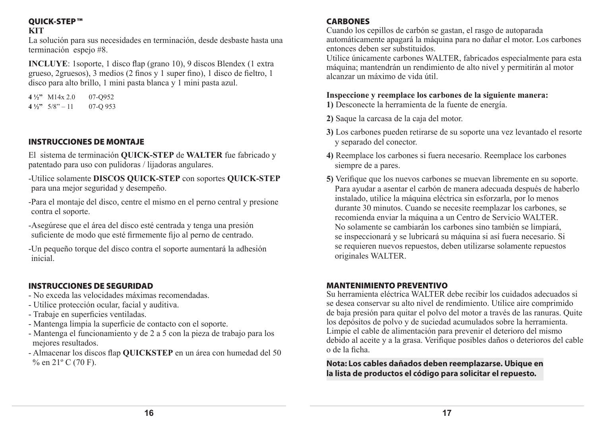#### OUICK-STEP ™ **KIT**

La solución para sus necesidades en terminación, desde desbaste hasta una terminación espejo #8.

**INCLUYE**: 1soporte, 1 disco flap (grano 10), 9 discos Blendex (1 extra grueso, 2gruesos), 3 medios (2 finos y 1 super fino), 1 disco de fieltro, 1 disco para alto brillo, 1 mini pasta blanca y 1 mini pasta azul.

**4 ½"** M14x 2.0 07-Q952  $4\frac{1}{2}$   $\frac{5}{8}$   $\frac{11}{-11}$  07-0 953

#### INSTRUCCIONES DE MONTAJE

El sistema de terminación **QUICK-STEP** de **WALTER** fue fabricado y patentado para uso con pulidoras / lijadoras angulares.

-Utilice solamente **DISCOS QUICK-STEP** con soportes **QUICK-STEP** para una mejor seguridad y desempeño.

- -Para el montaje del disco, centre el mismo en el perno central y presione contra el soporte.
- -Asegúrese que el área del disco esté centrada y tenga una presión suficiente de modo que esté firmemente fijo al perno de centrado.
- -Un pequeño torque del disco contra el soporte aumentará la adhesión inicial.

#### INSTRUCCIONES DE SEGURIDAD

- No exceda las velocidades máximas recomendadas.
- Utilice protección ocular, facial y auditiva.
- Trabaje en superficies ventiladas.
- Mantenga limpia la superficie de contacto con el soporte.
- Mantenga el funcionamiento y de 2 a 5 con la pieza de trabajo para los mejores resultados.
- Almacenar los discos flap **QUICKSTEP** en un área con humedad del 50 % en  $21^{\circ}$  C (70 F).

#### **CARRONES**

Cuando los cepillos de carbón se gastan, el rasgo de autoparada automáticamente apagará la máquina para no dañar el motor. Los carbones entonces deben ser substituidos.

Utilice únicamente carbones WALTER, fabricados especialmente para esta máquina; mantendrán un rendimiento de alto nivel y permitirán al motor alcanzar un máximo de vida útil.

#### **Inspeccione y reemplace los carbones de la siguiente manera:**

- **1)** Desconecte la herramienta de la fuente de energía.
- **2)** Saque la carcasa de la caja del motor.
- **3)** Los carbones pueden retirarse de su soporte una vez levantado el resorte y separado del conector.
- **4)** Reemplace los carbones si fuera necesario. Reemplace los carbones siempre de a pares.
- **5)** Verifique que los nuevos carbones se muevan libremente en su soporte. Para ayudar a asentar el carbón de manera adecuada después de haberlo instalado, utilice la máquina eléctrica sin esforzarla, por lo menos durante 30 minutos. Cuando se necesite reemplazar los carbones, se recomienda enviar la máquina a un Centro de Servicio WALTER. No solamente se cambiarán los carbones sino también se limpiará, se inspeccionará y se lubricará su máquina si así fuera necesario. Si se requieren nuevos repuestos, deben utilizarse solamente repuestos originales WALTER.

#### MANTENIMIENTO PREVENTIVO

Su herramienta eléctrica WALTER debe recibir los cuidados adecuados si se desea conservar su alto nivel de rendimiento. Utilice aire comprimido de baja presión para quitar el polvo del motor a través de las ranuras. Quite los depósitos de polvo y de suciedad acumulados sobre la herramienta. Limpie el cable de alimentación para prevenir el deterioro del mismo debido al aceite y a la grasa. Verifique posibles daños o deterioros del cable o de la ficha.

**Nota: Los cables dañados deben reemplazarse. Ubique en la lista de productos el código para solicitar el repuesto.**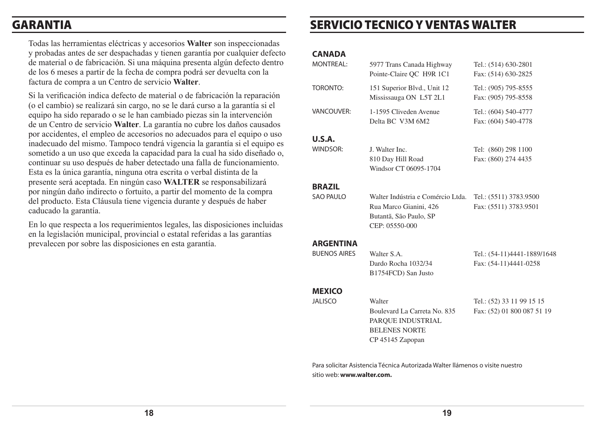## GARANTIA

Todas las herramientas eléctricas y accesorios **Walter** son inspeccionadas y probadas antes de ser despachadas y tienen garantía por cualquier defecto de material o de fabricación. Si una máquina presenta algún defecto dentro de los 6 meses a partir de la fecha de compra podrá ser devuelta con la factura de compra a un Centro de servicio **Walter**.

Si la verificación indica defecto de material o de fabricación la reparación (o el cambio) se realizará sin cargo, no se le dará curso a la garantía si el equipo ha sido reparado o se le han cambiado piezas sin la intervención de un Centro de servicio **Walter**. La garantía no cubre los daños causados por accidentes, el empleo de accesorios no adecuados para el equipo o uso inadecuado del mismo. Tampoco tendrá vigencia la garantía si el equipo es sometido a un uso que exceda la capacidad para la cual ha sido diseñado o, continuar su uso después de haber detectado una falla de funcionamiento. Esta es la única garantía, ninguna otra escrita o verbal distinta de la presente será aceptada. En ningún caso **WALTER** se responsabilizará por ningún daño indirecto o fortuito, a partir del momento de la compra del producto. Esta Cláusula tiene vigencia durante y después de haber caducado la garantía.

En lo que respecta a los requerimientos legales, las disposiciones incluidas en la legislación municipal, provincial o estatal referidas a las garantías prevalecen por sobre las disposiciones en esta garantía.

## SERVICIO TECNICO Y VENTAS WALTER

#### **CANADA**

| <b>MONTREAL:</b>    | 5977 Trans Canada Highway<br>Pointe-Claire QC H9R 1C1                                                   | Tel.: (514) 630-2801<br>Fax: (514) 630-2825             |
|---------------------|---------------------------------------------------------------------------------------------------------|---------------------------------------------------------|
| <b>TORONTO:</b>     | 151 Superior Blvd., Unit 12<br>Mississauga ON L5T 2L1                                                   | Tel.: (905) 795-8555<br>Fax: (905) 795-8558             |
| VANCOUVER:          | 1-1595 Cliveden Avenue<br>Delta BC V3M 6M2                                                              | Tel.: (604) 540-4777<br>Fax: (604) 540-4778             |
| <b>U.S.A.</b>       |                                                                                                         |                                                         |
| <b>WINDSOR:</b>     | J. Walter Inc.<br>810 Day Hill Road<br>Windsor CT 06095-1704                                            | Tel: (860) 298 1100<br>Fax: (860) 274 4435              |
| <b>BRAZIL</b>       |                                                                                                         |                                                         |
| <b>SAO PAULO</b>    | Walter Indústria e Comércio Ltda.<br>Rua Marco Gianini, 426<br>Butantã, São Paulo, SP<br>CEP: 05550-000 | Tel.: (5511) 3783.9500<br>Fax: (5511) 3783.9501         |
| <b>ARGENTINA</b>    |                                                                                                         |                                                         |
| <b>BUENOS AIRES</b> | Walter S.A.<br>Dardo Rocha 1032/34<br>B1754FCD) San Justo                                               | Tel.: (54-11)4441-1889/1648<br>Fax: (54-11)4441-0258    |
| <b>MEXICO</b>       |                                                                                                         |                                                         |
| <b>JALISCO</b>      | Walter<br>Boulevard La Carreta No. 835<br>PARQUE INDUSTRIAL<br><b>BELENES NORTE</b><br>CP 45145 Zapopan | Tel.: (52) 33 11 99 15 15<br>Fax: (52) 01 800 087 51 19 |

Para solicitar Asistencia Técnica Autorizada Walter llámenos o visite nuestro sitio web: **www.walter.com.**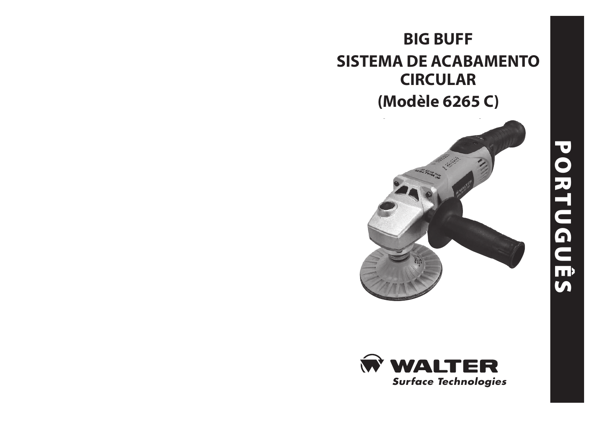# **BIG BUFF SISTEMA DE ACABAMENTO**   $CIRCULAR$ **(Modèle 6265 C)**





P O R T U G U Ê S ENGUÊS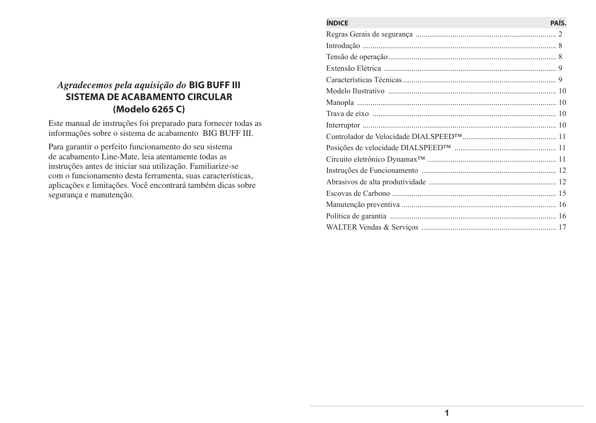### *Agradecemos pela aquisição do* **BIG BUFF III SISTEMA DE ACABAMENTO CIRCULAR (Modelo 6265 C)**

Este manual de instruções foi preparado para fornecer todas as informações sobre o sistema de acabamento BIG BUFF III.

Para garantir o perfeito funcionamento do seu sistema de acabamento Line-Mate, leia atentamente todas as instruções antes de iniciar sua utilização. Familiarize-se com o funcionamento desta ferramenta, suas características, aplicações e limitações. Você encontrará também dicas sobre segurança e manutenção.

| <b>ÍNDICE</b> | PAÍS. |
|---------------|-------|
|               |       |
|               |       |
|               |       |
|               |       |
|               |       |
|               |       |
|               |       |
|               |       |
|               |       |
|               |       |
|               |       |
|               |       |
|               |       |
|               |       |
|               |       |
|               |       |
|               |       |
|               |       |
|               |       |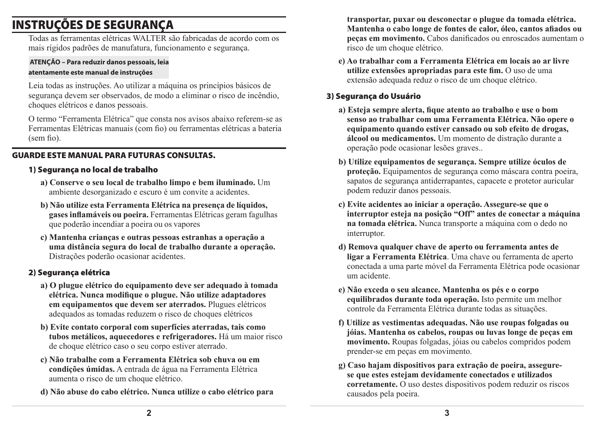## INSTRUÇÕES DE SEGURANÇA

Todas as ferramentas elétricas WALTER são fabricadas de acordo com os mais rígidos padrões de manufatura, funcionamento e segurança.

#### **ATENÇÃO – Para reduzir danos pessoais, leia atentamente este manual de instruções**

Leia todas as instruções. Ao utilizar a máquina os princípios básicos de segurança devem ser observados, de modo a eliminar o risco de incêndio, choques elétricos e danos pessoais.

O termo "Ferramenta Elétrica" que consta nos avisos abaixo referem-se as Ferramentas Elétricas manuais (com fio) ou ferramentas elétricas a bateria (sem fio).

#### GUARDE ESTE MANUAL PARA FUTURAS CONSULTAS.

#### 1) Segurança no local de trabalho

- **a) Conserve o seu local de trabalho limpo e bem iluminado.** Um ambiente desorganizado e escuro é um convite a acidentes.
- **b) Não utilize esta Ferramenta Elétrica na presença de líquidos, gases inflamáveis ou poeira.** Ferramentas Elétricas geram fagulhas que poderão incendiar a poeira ou os vapores
- **c) Mantenha crianças e outras pessoas estranhas a operação a uma distância segura do local de trabalho durante a operação.** Distrações poderão ocasionar acidentes.

#### 2) Segurança elétrica

- **a) O plugue elétrico do equipamento deve ser adequado à tomada elétrica. Nunca modifique o plugue. Não utilize adaptadores em equipamentos que devem ser aterrados.** Plugues elétricos adequados as tomadas reduzem o risco de choques elétricos
- **b) Evite contato corporal com superfícies aterradas, tais como tubos metálicos, aquecedores e refrigeradores.** Há um maior risco de choque elétrico caso o seu corpo estiver aterrado.
- **c) Não trabalhe com a Ferramenta Elétrica sob chuva ou em condições úmidas.** A entrada de água na Ferramenta Elétrica aumenta o risco de um choque elétrico.
- **d) Não abuse do cabo elétrico. Nunca utilize o cabo elétrico para**

**transportar, puxar ou desconectar o plugue da tomada elétrica. Mantenha o cabo longe de fontes de calor, óleo, cantos afiados ou peças em movimento.** Cabos danificados ou enroscados aumentam o risco de um choque elétrico.

**e) Ao trabalhar com a Ferramenta Elétrica em locais ao ar livre utilize extensões apropriadas para este fim.** O uso de uma extensão adequada reduz o risco de um choque elétrico.

#### 3) Segurança do Usuário

- **a) Esteja sempre alerta, fique atento ao trabalho e use o bom senso ao trabalhar com uma Ferramenta Elétrica. Não opere o equipamento quando estiver cansado ou sob efeito de drogas, álcool ou medicamentos.** Um momento de distração durante a operação pode ocasionar lesões graves..
- **b) Utilize equipamentos de segurança. Sempre utilize óculos de proteção.** Equipamentos de segurança como máscara contra poeira, sapatos de segurança antiderrapantes, capacete e protetor auricular podem reduzir danos pessoais.
- **c) Evite acidentes ao iniciar a operação. Assegure-se que o interruptor esteja na posição "Off" antes de conectar a máquina na tomada elétrica.** Nunca transporte a máquina com o dedo no interruptor.
- **d) Remova qualquer chave de aperto ou ferramenta antes de ligar a Ferramenta Elétrica**. Uma chave ou ferramenta de aperto conectada a uma parte móvel da Ferramenta Elétrica pode ocasionar um acidente.
- **e) Não exceda o seu alcance. Mantenha os pés e o corpo equilibrados durante toda operação.** Isto permite um melhor controle da Ferramenta Elétrica durante todas as situações.
- **f) Utilize as vestimentas adequadas. Não use roupas folgadas ou jóias. Mantenha os cabelos, roupas ou luvas longe de peças em movimento.** Roupas folgadas, jóias ou cabelos compridos podem prender-se em peças em movimento.
- **g) Caso hajam dispositivos para extração de poeira, assegurese que estes estejam devidamente conectados e utilizados corretamente.** O uso destes dispositivos podem reduzir os riscos causados pela poeira.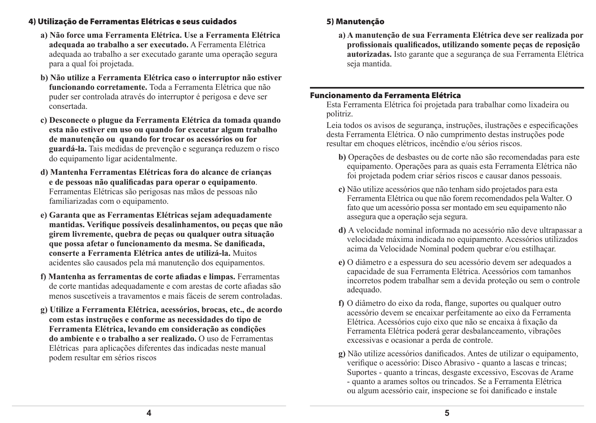#### 4) Utilização de Ferramentas Elétricas e seus cuidados

- **a) Não force uma Ferramenta Elétrica. Use a Ferramenta Elétrica adequada ao trabalho a ser executado.** A Ferramenta Elétrica adequada ao trabalho a ser executado garante uma operação segura para a qual foi projetada.
- **b) Não utilize a Ferramenta Elétrica caso o interruptor não estiver funcionando corretamente.** Toda a Ferramenta Elétrica que não puder ser controlada através do interruptor é perigosa e deve ser consertada.
- **c) Desconecte o plugue da Ferramenta Elétrica da tomada quando esta não estiver em uso ou quando for executar algum trabalho de manutenção ou quando for trocar os acessórios ou for guardá-la.** Tais medidas de prevenção e segurança reduzem o risco do equipamento ligar acidentalmente.
- **d) Mantenha Ferramentas Elétricas fora do alcance de crianças e de pessoas não qualificadas para operar o equipamento**. Ferramentas Elétricas são perigosas nas mãos de pessoas não familiarizadas com o equipamento.
- **e) Garanta que as Ferramentas Elétricas sejam adequadamente mantidas. Verifique possíveis desalinhamentos, ou peças que não girem livremente, quebra de peças ou qualquer outra situação que possa afetar o funcionamento da mesma. Se danificada, conserte a Ferramenta Elétrica antes de utilizá-la.** Muitos acidentes são causados pela má manutenção dos equipamentos.
- **f) Mantenha as ferramentas de corte afiadas e limpas.** Ferramentas de corte mantidas adequadamente e com arestas de corte afiadas são menos suscetíveis a travamentos e mais fáceis de serem controladas.
- **g) Utilize a Ferramenta Elétrica, acessórios, brocas, etc., de acordo com estas instruções e conforme as necessidades do tipo de Ferramenta Elétrica, levando em consideração as condições do ambiente e o trabalho a ser realizado.** O uso de Ferramentas Elétricas para aplicações diferentes das indicadas neste manual podem resultar em sérios riscos

#### 5) Manutenção

**a) A manutenção de sua Ferramenta Elétrica deve ser realizada por profissionais qualificados, utilizando somente peças de reposição autorizadas.** Isto garante que a segurança de sua Ferramenta Elétrica seja mantida.

#### Funcionamento da Ferramenta Elétrica

Esta Ferramenta Elétrica foi projetada para trabalhar como lixadeira ou politriz.

Leia todos os avisos de segurança, instruções, ilustrações e especificações desta Ferramenta Elétrica. O não cumprimento destas instruções pode resultar em choques elétricos, incêndio e/ou sérios riscos.

- **b)** Operações de desbastes ou de corte não são recomendadas para este equipamento. Operações para as quais esta Ferramenta Elétrica não foi projetada podem criar sérios riscos e causar danos pessoais.
- **c)** Não utilize acessórios que não tenham sido projetados para esta Ferramenta Elétrica ou que não forem recomendados pela Walter. O fato que um acessório possa ser montado em seu equipamento não assegura que a operação seja segura.
- **d)** A velocidade nominal informada no acessório não deve ultrapassar a velocidade máxima indicada no equipamento. Acessórios utilizados acima da Velocidade Nominal podem quebrar e/ou estilhaçar.
- **e)** O diâmetro e a espessura do seu acessório devem ser adequados a capacidade de sua Ferramenta Elétrica. Acessórios com tamanhos incorretos podem trabalhar sem a devida proteção ou sem o controle adequado.
- **f)** O diâmetro do eixo da roda, flange, suportes ou qualquer outro acessório devem se encaixar perfeitamente ao eixo da Ferramenta Elétrica. Acessórios cujo eixo que não se encaixa à fixação da Ferramenta Elétrica poderá gerar desbalanceamento, vibrações excessivas e ocasionar a perda de controle.
- **g)** Não utilize acessórios danificados. Antes de utilizar o equipamento, verifique o acessório: Disco Abrasivo - quanto a lascas e trincas; Suportes - quanto a trincas, desgaste excessivo, Escovas de Arame - quanto a arames soltos ou trincados. Se a Ferramenta Elétrica ou algum acessório cair, inspecione se foi danificado e instale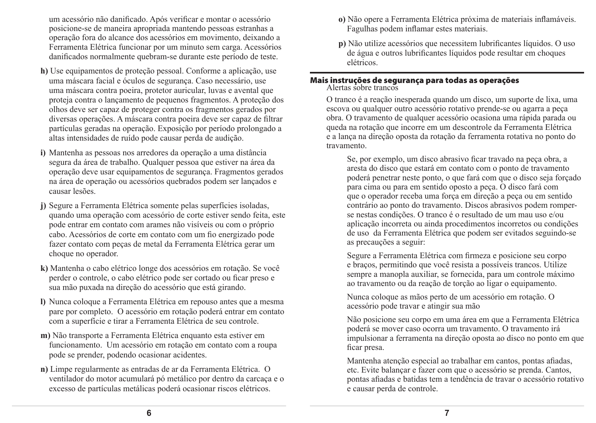um acessório não danificado. Após verificar e montar o acessório posicione-se de maneira apropriada mantendo pessoas estranhas a operação fora do alcance dos acessórios em movimento, deixando a Ferramenta Elétrica funcionar por um minuto sem carga. Acessórios danificados normalmente quebram-se durante este período de teste.

- **h)** Use equipamentos de proteção pessoal. Conforme a aplicação, use uma máscara facial e óculos de segurança. Caso necessário, use uma máscara contra poeira, protetor auricular, luvas e avental que proteja contra o lançamento de pequenos fragmentos. A proteção dos olhos deve ser capaz de proteger contra os fragmentos gerados por diversas operações. A máscara contra poeira deve ser capaz de filtrar partículas geradas na operação. Exposição por período prolongado a altas intensidades de ruído pode causar perda de audição.
- **i)** Mantenha as pessoas nos arredores da operação a uma distância segura da área de trabalho. Qualquer pessoa que estiver na área da operação deve usar equipamentos de segurança. Fragmentos gerados na área de operação ou acessórios quebrados podem ser lançados e causar lesões.
- **j)** Segure a Ferramenta Elétrica somente pelas superfícies isoladas, quando uma operação com acessório de corte estiver sendo feita, este pode entrar em contato com arames não visíveis ou com o próprio cabo. Acessórios de corte em contato com um fio energizado pode fazer contato com peças de metal da Ferramenta Elétrica gerar um choque no operador.
- **k)** Mantenha o cabo elétrico longe dos acessórios em rotação. Se você perder o controle, o cabo elétrico pode ser cortado ou ficar preso e sua mão puxada na direção do acessório que está girando.
- **l)** Nunca coloque a Ferramenta Elétrica em repouso antes que a mesma pare por completo. O acessório em rotação poderá entrar em contato com a superfície e tirar a Ferramenta Elétrica de seu controle.
- **m)** Não transporte a Ferramenta Elétrica enquanto esta estiver em funcionamento. Um acessório em rotação em contato com a roupa pode se prender, podendo ocasionar acidentes.
- **n)** Limpe regularmente as entradas de ar da Ferramenta Elétrica. O ventilador do motor acumulará pó metálico por dentro da carcaça e o excesso de partículas metálicas poderá ocasionar riscos elétricos.
- **o)** Não opere a Ferramenta Elétrica próxima de materiais inflamáveis. Fagulhas podem inflamar estes materiais.
- **p)** Não utilize acessórios que necessitem lubrificantes líquidos. O uso de água e outros lubrificantes líquidos pode resultar em choques elétricos.

## Mais instruções de segurança para todas as operações Alertas sobre trancos

travamento.

O tranco é a reação inesperada quando um disco, um suporte de lixa, uma escova ou qualquer outro acessório rotativo prende-se ou agarra a peça obra. O travamento de qualquer acessório ocasiona uma rápida parada ou queda na rotação que incorre em um descontrole da Ferramenta Elétrica e a lança na direção oposta da rotação da ferramenta rotativa no ponto do

> Se, por exemplo, um disco abrasivo ficar travado na peça obra, a aresta do disco que estará em contato com o ponto de travamento poderá penetrar neste ponto, o que fará com que o disco seja forçado para cima ou para em sentido oposto a peça. O disco fará com que o operador receba uma força em direção a peça ou em sentido contrário ao ponto do travamento. Discos abrasivos podem romperse nestas condições. O tranco é o resultado de um mau uso e/ou aplicação incorreta ou ainda procedimentos incorretos ou condições de uso da Ferramenta Elétrica que podem ser evitados seguindo-se as precauções a seguir:

Segure a Ferramenta Elétrica com firmeza e posicione seu corpo e braços, permitindo que você resista a possíveis trancos. Utilize sempre a manopla auxiliar, se fornecida, para um controle máximo ao travamento ou da reação de torção ao ligar o equipamento.

Nunca coloque as mãos perto de um acessório em rotação. O acessório pode travar e atingir sua mão

Não posicione seu corpo em uma área em que a Ferramenta Elétrica poderá se mover caso ocorra um travamento. O travamento irá impulsionar a ferramenta na direção oposta ao disco no ponto em que ficar presa.

Mantenha atenção especial ao trabalhar em cantos, pontas afiadas, etc. Evite balançar e fazer com que o acessório se prenda. Cantos, pontas afiadas e batidas tem a tendência de travar o acessório rotativo e causar perda de controle.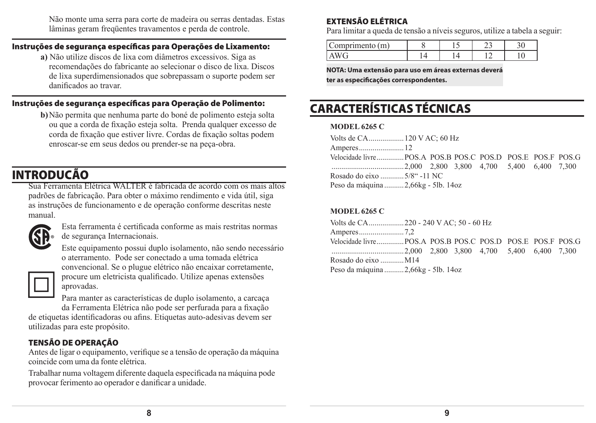Não monte uma serra para corte de madeira ou serras dentadas. Estas lâminas geram freqüentes travamentos e perda de controle.

#### Instruções de segurança específicas para Operações de Lixamento:

**a)** Não utilize discos de lixa com diâmetros excessivos. Siga as recomendações do fabricante ao selecionar o disco de lixa. Discos de lixa superdimensionados que sobrepassam o suporte podem ser danificados ao travar.

#### Instruções de segurança específicas para Operação de Polimento:

**b)** Não permita que nenhuma parte do boné de polimento esteja solta ou que a corda de fixação esteja solta. Prenda qualquer excesso de corda de fixação que estiver livre. Cordas de fixação soltas podem enroscar-se em seus dedos ou prender-se na peça-obra.

## INTRODUCÃO

Sua Ferramenta Elétrica WALTER é fabricada de acordo com os mais altos padrões de fabricação. Para obter o máximo rendimento e vida útil, siga as instruções de funcionamento e de operação conforme descritas neste manual.



Esta ferramenta é certificada conforme as mais restritas normas de segurança Internacionais.



Este equipamento possui duplo isolamento, não sendo necessário o aterramento. Pode ser conectado a uma tomada elétrica convencional. Se o plugue elétrico não encaixar corretamente, procure um eletricista qualificado. Utilize apenas extensões aprovadas.

Para manter as características de duplo isolamento, a carcaça da Ferramenta Elétrica não pode ser perfurada para a fixação

de etiquetas identificadoras ou afins. Etiquetas auto-adesivas devem ser utilizadas para este propósito.

#### TENSÃO DE OPERAÇÃO

Antes de ligar o equipamento, verifique se a tensão de operação da máquina coincide com uma da fonte elétrica.

Trabalhar numa voltagem diferente daquela especificada na máquina pode provocar ferimento ao operador e danificar a unidade.

#### EXTENSÃO ELÉTRICA

Para limitar a queda de tensão a níveis seguros, utilize a tabela a seguir:

| ∩mnrıment∩<br>$\sim$<br> |  | ↗<br>-- |  |
|--------------------------|--|---------|--|
|                          |  |         |  |

**NOTA: Uma extensão para uso em áreas externas deverá ter as especificações correspondentes.**

## CARACTERÍSTICAS TÉCNICAS

#### **MODEL 6265 C**

| Velocidade livre POS.A POS.B POS.C POS.D POS.E POS.F POS.G                                                                                                                                                                                                                                                                                   |  |  |  |  |
|----------------------------------------------------------------------------------------------------------------------------------------------------------------------------------------------------------------------------------------------------------------------------------------------------------------------------------------------|--|--|--|--|
| $\ldots$ $\ldots$ $\ldots$ $\ldots$ $\ldots$ $\ldots$ $\ldots$ $\ldots$ $\ldots$ $\ldots$ $\ldots$ $\ldots$ $\ldots$ $\ldots$ $\ldots$ $\ldots$ $\ldots$ $\ldots$ $\ldots$ $\ldots$ $\ldots$ $\ldots$ $\ldots$ $\ldots$ $\ldots$ $\ldots$ $\ldots$ $\ldots$ $\ldots$ $\ldots$ $\ldots$ $\ldots$ $\ldots$ $\ldots$ $\ldots$ $\ldots$ $\ldots$ |  |  |  |  |
| Rosado do eixo  5/8" -11 NC                                                                                                                                                                                                                                                                                                                  |  |  |  |  |
| Peso da máquina  2,66kg - 5lb. 14oz                                                                                                                                                                                                                                                                                                          |  |  |  |  |

#### **MODEL 6265 C**

| $\ldots$ $\ldots$ $\ldots$ $\ldots$ $\ldots$ $\ldots$ $\ldots$ $\ldots$ $\ldots$ $\ldots$ $\ldots$ $\ldots$ $\ldots$ $\ldots$ $\ldots$ $\ldots$ $\ldots$ $\ldots$ $\ldots$ $\ldots$ $\ldots$ $\ldots$ $\ldots$ $\ldots$ $\ldots$ $\ldots$ $\ldots$ $\ldots$ $\ldots$ $\ldots$ $\ldots$ $\ldots$ $\ldots$ $\ldots$ $\ldots$ $\ldots$ $\ldots$ |  |  |  |  |
|----------------------------------------------------------------------------------------------------------------------------------------------------------------------------------------------------------------------------------------------------------------------------------------------------------------------------------------------|--|--|--|--|
| Rosado do eixo  M14                                                                                                                                                                                                                                                                                                                          |  |  |  |  |
| Peso da máquina  2,66kg - 5lb. 14oz                                                                                                                                                                                                                                                                                                          |  |  |  |  |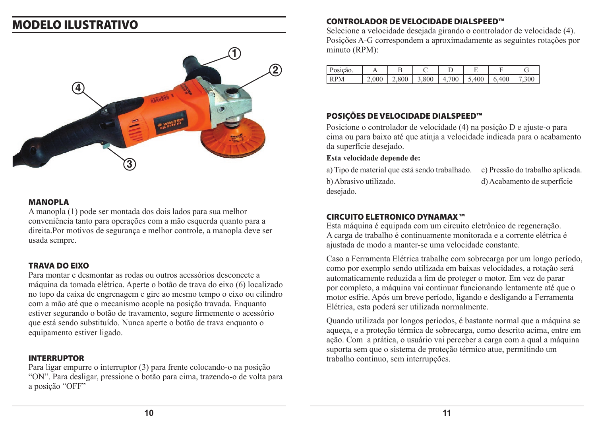#### MODELO ILUSTRATIVO MODEL O ILLISTRATION



#### SIDE HANDLE MANOPLA

A manopla (1) pode ser montada dos dois lados para sua melhor conveniência tanto para operações com a mão esquerda quanto para a direita.Por motivos de segurança e melhor controle, a manopla deve ser usada sempre.

#### TRAVA DO EIXO

**8** máquina da tomada elétrica. Aperte o botão de trava do eixo (6) localizado Para montar e desmontar as rodas ou outros acessórios desconecte a no topo da caixa de engrenagem e gire ao mesmo tempo o eixo ou cilindro com a mão até que o mecanismo acople na posição travada. Enquanto estiver segurando o botão de travamento, segure firmemente o acessório que está sendo substituído. Nunca aperte o botão de trava enquanto o equipamento estiver ligado.

#### INTERRUPTOR

Para ligar empurre o interruptor (3) para frente colocando-o na posição "ON". Para desligar, pressione o botão para cima, trazendo-o de volta para a posição "OFF"

#### CONTROLADOR DE VELOCIDADE DIALSPEED™

Selecione a velocidade desejada girando o controlador de velocidade (4). Posições A-G correspondem a aproximadamente as seguintes rotações por minuto (RPM):

| $\sim$<br>POSIÇÃO. |    |   |                        |             |         |    |  |
|--------------------|----|---|------------------------|-------------|---------|----|--|
|                    | ູ້ | v | υv<br>◡<br>$\check{~}$ | н<br>4<br>ν | ◡◡<br>ັ | ባበ |  |

#### POSIÇÕES DE VELOCIDADE DIALSPEED™

Posicione o controlador de velocidade (4) na posição D e ajuste-o para cima ou para baixo até que atinja a velocidade indicada para o acabamento da superfície desejado.

#### **Esta velocidade depende de:**

a) Tipo de material que está sendo trabalhado. c) Pressão do trabalho aplicada. b) Abrasivo utilizado. d) Acabamento de superfície desejado.

#### CIRCUITO ELETRONICO DYNAMAX ™

Esta máquina é equipada com um circuito eletrônico de regeneração. A carga de trabalho é continuamente monitorada e a corrente elétrica é ajustada de modo a manter-se uma velocidade constante.

Caso a Ferramenta Elétrica trabalhe com sobrecarga por um longo período, como por exemplo sendo utilizada em baixas velocidades, a rotação será automaticamente reduzida a fim de proteger o motor. Em vez de parar por completo, a máquina vai continuar funcionando lentamente até que o motor esfrie. Após um breve período, ligando e desligando a Ferramenta Elétrica, esta poderá ser utilizada normalmente.

Quando utilizada por longos períodos, é bastante normal que a máquina se aqueça, e a proteção térmica de sobrecarga, como descrito acima, entre em ação. Com a prática, o usuário vai perceber a carga com a qual a máquina suporta sem que o sistema de proteção térmico atue, permitindo um trabalho contínuo, sem interrupções.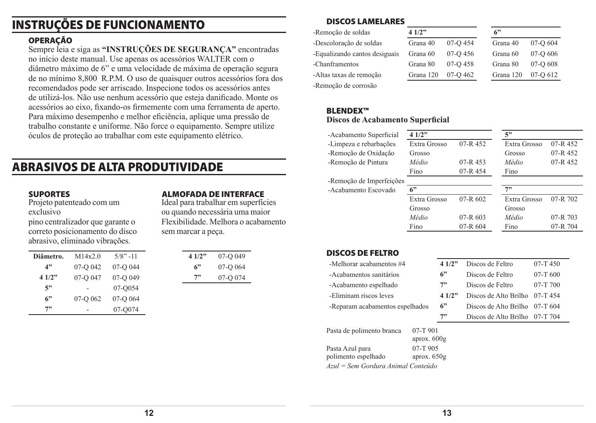## INSTRUÇÕES DE FUNCIONAMENTO

#### **OPERAÇÃO**

Sempre leia e siga as **"INSTRUÇÕES DE SEGURANÇA"** encontradas no início deste manual. Use apenas os acessórios WALTER com o diâmetro máximo de 6" e uma velocidade de máxima de operação segura de no mínimo 8,800 R.P.M. O uso de quaisquer outros acessórios fora dos recomendados pode ser arriscado. Inspecione todos os acessórios antes de utilizá-los. Não use nenhum acessório que esteja danificado. Monte os acessórios ao eixo, fixando-os firmemente com uma ferramenta de aperto. Para máximo desempenho e melhor eficiência, aplique uma pressão de trabalho constante e uniforme. Não force o equipamento. Sempre utilize óculos de proteção ao trabalhar com este equipamento elétrico.

## ABRASIVOS DE ALTA PRODUTIVIDADE

Projeto patenteado com um exclusivo pino centralizador que garante o

correto posicionamento do disco abrasivo, eliminado vibrações.

| Diâmetro. | M14x2.0      | $5/8$ " -11  | 41/2" | 07-Q 049 |
|-----------|--------------|--------------|-------|----------|
| 4"        | $07 - 0.042$ | $07 - O$ 044 | $6$ " | 07-Q 064 |
| 41/2"     | 07-Q 047     | 07-Q 049     | 7"    | 07-Q 074 |
| 5"        |              | 07-0054      |       |          |
| 6"        | $07-0062$    | $07 - 0.064$ |       |          |
| 7"        |              | 07-O074      |       |          |

#### SUPORTES ALMOFADA DE INTERFACE

Ideal para trabalhar em superfícies ou quando necessária uma maior Flexibilidade. Melhora o acabamento sem marcar a peça.

| 07-Q 049     |
|--------------|
| $07-Q$ 064   |
| $07 - O$ 074 |
|              |

#### DISCOS LAMELARES

| -Remoção de soldas            | 41/2"     |             | 6"        |             |
|-------------------------------|-----------|-------------|-----------|-------------|
| -Descoloração de soldas       | Grana 40  | $07 - 0454$ | Grana 40  | $07-Q$ 604  |
| -Equalizando cantos desiguais | Grana 60  | $07-Q$ 456  | Grana 60  | $07-Q$ 606  |
| -Chanframentos                | Grana 80  | $07 - 0458$ | Grana 80  | $07 - 0608$ |
| -Altas taxas de remoção       | Grana 120 | $07 - 0462$ | Grana 120 | $07-0612$   |
| -Remoção de corrosão          |           |             |           |             |

## BLENDEX™

#### **Discos de Acabamento Superficial**

| -Acabamento Superficial  | 41/2"        |              | 5"           |              |
|--------------------------|--------------|--------------|--------------|--------------|
| -Limpeza e rebarbações   | Extra Grosso | 07-R 452     | Extra Grosso | 07-R 452     |
| -Remoção de Oxidação     | Grosso       |              | Grosso       | $07 - R$ 452 |
| -Remoção de Pintura      | Médio        | 07-R 453     | Médio        | $07 - R$ 452 |
|                          | Fino         | $07 - R$ 454 | Fino         |              |
| -Remoção de Imperfeições |              |              |              |              |
| -Acabamento Escovado     | 6"           |              | 7"           |              |
|                          | Extra Grosso | 07-R 602     | Extra Grosso | $07 - R$ 702 |
|                          | Grosso       |              | Grosso       |              |
|                          | Médio        | $07 - R$ 603 | Médio        | 07-R 703     |
|                          | Fino         | 07-R 604     | Fino         | 07-R 704     |
|                          |              |              |              |              |

#### DISCOS DE FELTRO

| -Melhorar acabamentos #4        | 41/2" | Discos de Feltro                 | $07-T450$  |
|---------------------------------|-------|----------------------------------|------------|
| -Acabamentos sanitários         | 6"    | Discos de Feltro                 | $07-T$ 600 |
| -Acabamento espelhado           | 7"    | Discos de Feltro                 | $07-T700$  |
| -Eliminam riscos leves          | 41/2" | Discos de Alto Brilho 07-T 454   |            |
| -Reparam acabamentos espelhados | 6"    | Discos de Alto Brilho $07-T$ 604 |            |
|                                 | 7"    | Discos de Alto Brilho 07-T 704   |            |
|                                 |       |                                  |            |

| Pasta de polimento branca          | $07-T901$     |
|------------------------------------|---------------|
|                                    | aprox. $600g$ |
| Pasta Azul para                    | $07-T905$     |
| polimento espelhado                | aprox. $650g$ |
| Azul = Sem Gordura Animal Conteúdo |               |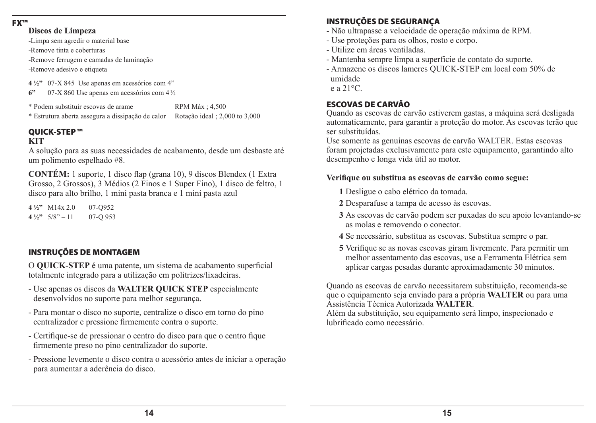#### FX™

#### **Discos de Limpeza**

-Limpa sem agredir o material base

-Remove tinta e coberturas

-Remove ferrugem e camadas de laminação

-Remove adesivo e etiqueta

**4 ½"** 07-X 845 Use apenas em acessórios com 4"

**6"** 07-X 860 Use apenas em acessórios com 4 ½

\* Podem substituir escovas de arame RPM Máx ; 4,500 \* Estrutura aberta assegura a dissipação de calor Rotação ideal ; 2,000 to 3,000

### QUICK-STEP ™

#### **KIT**

A solução para as suas necessidades de acabamento, desde um desbaste até um polimento espelhado #8.

**CONTÉM:** 1 suporte, 1 disco flap (grana 10), 9 discos Blendex (1 Extra Grosso, 2 Grossos), 3 Médios (2 Finos e 1 Super Fino), 1 disco de feltro, 1 disco para alto brilho, 1 mini pasta branca e 1 mini pasta azul

**4 ½"** M14x 2.0 07-Q952  $4\frac{1}{2}$ <sup>3</sup>  $5/8$ <sup>3</sup> – 11 07-Q 953

### INSTRUÇÕES DE MONTAGEM

O **QUICK-STEP** é uma patente, um sistema de acabamento superficial totalmente integrado para a utilização em politrizes/lixadeiras.

- Use apenas os discos da **WALTER QUICK STEP** especialmente desenvolvidos no suporte para melhor segurança.
- Para montar o disco no suporte, centralize o disco em torno do pino centralizador e pressione firmemente contra o suporte.
- Certifique-se de pressionar o centro do disco para que o centro fique firmemente preso no pino centralizador do suporte.
- Pressione levemente o disco contra o acessório antes de iniciar a operação para aumentar a aderência do disco.

#### INSTRUÇÕES DE SEGURANÇA

- Não ultrapasse a velocidade de operação máxima de RPM.
- Use proteções para os olhos, rosto e corpo.
- Utilize em áreas ventiladas.
- Mantenha sempre limpa a superfície de contato do suporte.
- Armazene os discos lameres QUICK-STEP em local com 50% de umidade
- e a 21°C.

#### ESCOVAS DE CARVÃO

Quando as escovas de carvão estiverem gastas, a máquina será desligada automaticamente, para garantir a proteção do motor. As escovas terão que ser substituídas.

Use somente as genuínas escovas de carvão WALTER. Estas escovas foram projetadas exclusivamente para este equipamento, garantindo alto desempenho e longa vida útil ao motor.

#### **Verifique ou substitua as escovas de carvão como segue:**

- **1** Desligue o cabo elétrico da tomada.
- **2** Desparafuse a tampa de acesso às escovas.
- **3** As escovas de carvão podem ser puxadas do seu apoio levantando-se as molas e removendo o conector.
- **4** Se necessário, substitua as escovas. Substitua sempre o par.
- **5** Verifique se as novas escovas giram livremente. Para permitir um melhor assentamento das escovas, use a Ferramenta Elétrica sem aplicar cargas pesadas durante aproximadamente 30 minutos.

Quando as escovas de carvão necessitarem substituição, recomenda-se que o equipamento seja enviado para a própria **WALTER** ou para uma Assistência Técnica Autorizada **WALTER**.

Além da substituição, seu equipamento será limpo, inspecionado e lubrificado como necessário.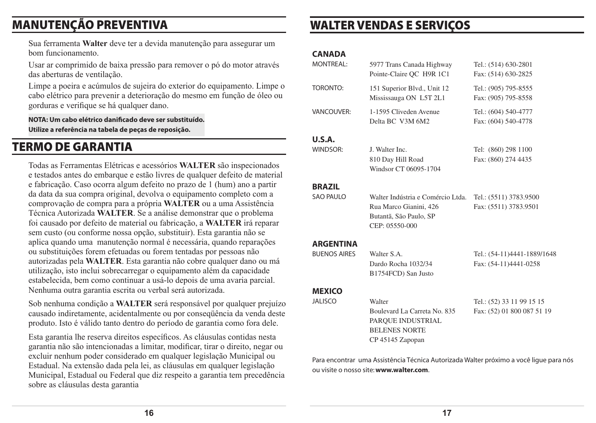## MANUTENÇÃO PREVENTIVA

Sua ferramenta **Walter** deve ter a devida manutenção para assegurar um bom funcionamento.

Usar ar comprimido de baixa pressão para remover o pó do motor através das aberturas de ventilação.

Limpe a poeira e acúmulos de sujeira do exterior do equipamento. Limpe o cabo elétrico para prevenir a deterioração do mesmo em função de óleo ou gorduras e verifique se há qualquer dano.

**NOTA: Um cabo elétrico danificado deve ser substituído. Utilize a referência na tabela de peças de reposição.**

## TERMO DE GARANTIA

Todas as Ferramentas Elétricas e acessórios **WALTER** são inspecionados e testados antes do embarque e estão livres de qualquer defeito de material e fabricação. Caso ocorra algum defeito no prazo de 1 (hum) ano a partir da data da sua compra original, devolva o equipamento completo com a comprovação de compra para a própria **WALTER** ou a uma Assistência Técnica Autorizada **WALTER**. Se a análise demonstrar que o problema foi causado por defeito de material ou fabricação, a **WALTER** irá reparar sem custo (ou conforme nossa opção, substituir). Esta garantia não se aplica quando uma manutenção normal é necessária, quando reparações ou substituições forem efetuadas ou forem tentadas por pessoas não autorizadas pela **WALTER**. Esta garantia não cobre qualquer dano ou má utilização, isto inclui sobrecarregar o equipamento além da capacidade estabelecida, bem como continuar a usá-lo depois de uma avaria parcial. Nenhuma outra garantia escrita ou verbal será autorizada.

Sob nenhuma condição a **WALTER** será responsável por qualquer prejuízo causado indiretamente, acidentalmente ou por conseqüência da venda deste produto. Isto é válido tanto dentro do período de garantia como fora dele.

Esta garantia lhe reserva direitos específicos. As cláusulas contidas nesta garantia não são intencionadas a limitar, modificar, tirar o direito, negar ou excluir nenhum poder considerado em qualquer legislação Municipal ou Estadual. Na extensão dada pela lei, as cláusulas em qualquer legislação Municipal, Estadual ou Federal que diz respeito a garantia tem precedência sobre as cláusulas desta garantia

## WALTER VENDAS E SERVICOS

#### **CANADA**

| <b>MONTREAL:</b>                        | 5977 Trans Canada Highway<br>Pointe-Claire QC H9R 1C1                                                   | Tel.: (514) 630-2801<br>Fax: (514) 630-2825             |
|-----------------------------------------|---------------------------------------------------------------------------------------------------------|---------------------------------------------------------|
| <b>TORONTO:</b>                         | 151 Superior Blvd., Unit 12<br>Mississauga ON L5T 2L1                                                   | Tel.: (905) 795-8555<br>Fax: (905) 795-8558             |
| VANCOUVER:                              | 1-1595 Cliveden Avenue<br>Delta BC V3M 6M2                                                              | Tel.: (604) 540-4777<br>Fax: (604) 540-4778             |
| U.S.A.<br><b>WINDSOR:</b>               | J. Walter Inc.<br>810 Day Hill Road<br>Windsor CT 06095-1704                                            | Tel: (860) 298 1100<br>Fax: (860) 274 4435              |
| <b>BRAZIL</b><br><b>SAO PAULO</b>       | Walter Indústria e Comércio Ltda.<br>Rua Marco Gianini, 426<br>Butantã, São Paulo, SP<br>CEP: 05550-000 | Tel.: (5511) 3783.9500<br>Fax: (5511) 3783.9501         |
| <b>ARGENTINA</b><br><b>BUENOS AIRES</b> | Walter S.A.<br>Dardo Rocha 1032/34<br>B1754FCD) San Justo                                               | Tel.: (54-11)4441-1889/1648<br>Fax: (54-11)4441-0258    |
| <b>MEXICO</b><br><b>JALISCO</b>         | Walter<br>Boulevard La Carreta No. 835<br>PARQUE INDUSTRIAL<br><b>BELENES NORTE</b><br>CP 45145 Zapopan | Tel.: (52) 33 11 99 15 15<br>Fax: (52) 01 800 087 51 19 |

Para encontrar uma Assistência Técnica Autorizada Walter próximo a você ligue para nós ou visite o nosso site: **www.walter.com**.